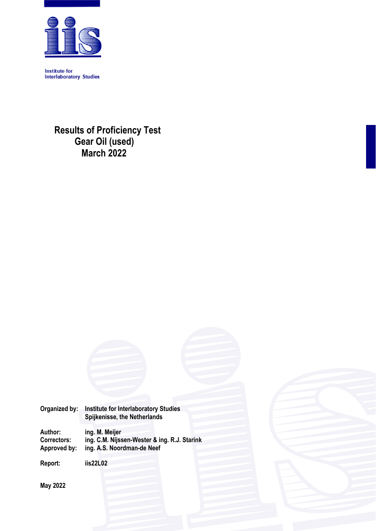

**Institute for Interlaboratory Studies** 

> **Results of Proficiency Test Gear Oil (used) March 2022**

| Organized by:      | <b>Institute for Interlaboratory Studies</b><br>Spijkenisse, the Netherlands |
|--------------------|------------------------------------------------------------------------------|
| Author:            | ing. M. Meijer                                                               |
| <b>Correctors:</b> | ing. C.M. Nijssen-Wester & ing. R.J. Starink                                 |
| Approved by:       | ing. A.S. Noordman-de Neef                                                   |

**Report: iis22L02** 

**May 2022**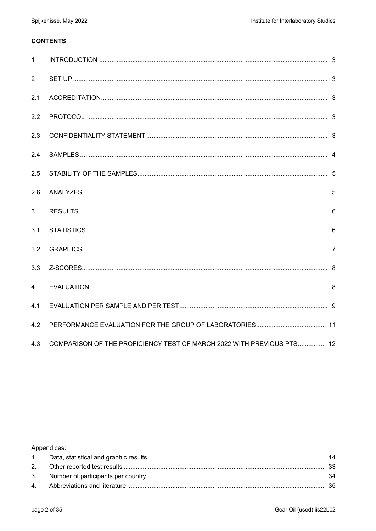## **CONTENTS**

| $\mathbf{1}$   |                                                                       |  |
|----------------|-----------------------------------------------------------------------|--|
| 2              |                                                                       |  |
| 2.1            |                                                                       |  |
| 2.2            |                                                                       |  |
| 2.3            |                                                                       |  |
| 2.4            |                                                                       |  |
| 2.5            |                                                                       |  |
| 2.6            |                                                                       |  |
| 3              |                                                                       |  |
| 3.1            |                                                                       |  |
| 3.2            |                                                                       |  |
| 3.3            |                                                                       |  |
| $\overline{4}$ |                                                                       |  |
| 4.1            |                                                                       |  |
| 4.2            |                                                                       |  |
| 4.3            | COMPARISON OF THE PROFICIENCY TEST OF MARCH 2022 WITH PREVIOUS PTS 12 |  |

Appendices: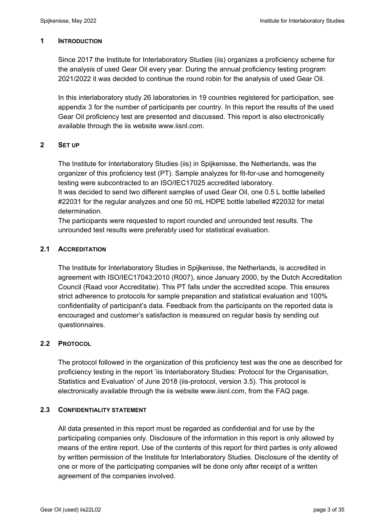### **1 INTRODUCTION**

Since 2017 the Institute for Interlaboratory Studies (iis) organizes a proficiency scheme for the analysis of used Gear Oil every year. During the annual proficiency testing program 2021/2022 it was decided to continue the round robin for the analysis of used Gear Oil.

In this interlaboratory study 26 laboratories in 19 countries registered for participation, see appendix 3 for the number of participants per country. In this report the results of the used Gear Oil proficiency test are presented and discussed. This report is also electronically available through the iis website www.iisnl.com.

### **2 SET UP**

The Institute for Interlaboratory Studies (iis) in Spijkenisse, the Netherlands, was the organizer of this proficiency test (PT). Sample analyzes for fit-for-use and homogeneity testing were subcontracted to an ISO/IEC17025 accredited laboratory.

It was decided to send two different samples of used Gear Oil, one 0.5 L bottle labelled #22031 for the regular analyzes and one 50 mL HDPE bottle labelled #22032 for metal determination.

The participants were requested to report rounded and unrounded test results. The unrounded test results were preferably used for statistical evaluation.

### **2.1 ACCREDITATION**

The Institute for Interlaboratory Studies in Spijkenisse, the Netherlands, is accredited in agreement with ISO/IEC17043:2010 (R007), since January 2000, by the Dutch Accreditation Council (Raad voor Accreditatie). This PT falls under the accredited scope. This ensures strict adherence to protocols for sample preparation and statistical evaluation and 100% confidentiality of participant's data. Feedback from the participants on the reported data is encouraged and customer's satisfaction is measured on regular basis by sending out questionnaires.

### **2.2 PROTOCOL**

The protocol followed in the organization of this proficiency test was the one as described for proficiency testing in the report 'iis Interlaboratory Studies: Protocol for the Organisation, Statistics and Evaluation' of June 2018 (iis-protocol, version 3.5). This protocol is electronically available through the iis website www.iisnl.com, from the FAQ page.

### **2.3 CONFIDENTIALITY STATEMENT**

All data presented in this report must be regarded as confidential and for use by the participating companies only. Disclosure of the information in this report is only allowed by means of the entire report. Use of the contents of this report for third parties is only allowed by written permission of the Institute for Interlaboratory Studies. Disclosure of the identity of one or more of the participating companies will be done only after receipt of a written agreement of the companies involved.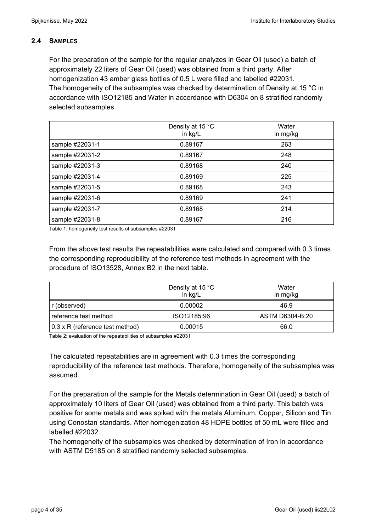### **2.4 SAMPLES**

For the preparation of the sample for the regular analyzes in Gear Oil (used) a batch of approximately 22 liters of Gear Oil (used) was obtained from a third party. After homogenization 43 amber glass bottles of 0.5 L were filled and labelled #22031. The homogeneity of the subsamples was checked by determination of Density at 15 °C in accordance with ISO12185 and Water in accordance with D6304 on 8 stratified randomly selected subsamples.

|                 | Density at 15 °C<br>in kg/L | Water<br>in mg/kg |
|-----------------|-----------------------------|-------------------|
| sample #22031-1 | 0.89167                     | 263               |
| sample #22031-2 | 0.89167                     | 248               |
| sample #22031-3 | 0.89168                     | 240               |
| sample #22031-4 | 0.89169                     | 225               |
| sample #22031-5 | 0.89168                     | 243               |
| sample #22031-6 | 0.89169                     | 241               |
| sample #22031-7 | 0.89168                     | 214               |
| sample #22031-8 | 0.89167                     | 216               |

Table 1: homogeneity test results of subsamples #22031

From the above test results the repeatabilities were calculated and compared with 0.3 times the corresponding reproducibility of the reference test methods in agreement with the procedure of ISO13528, Annex B2 in the next table.

|                                 | Density at 15 °C<br>in kg/L | Water<br>in mg/kg |
|---------------------------------|-----------------------------|-------------------|
| r (observed)                    | 0.00002                     | 46.9              |
| reference test method           | ISO12185:96                 | ASTM D6304-B:20   |
| 0.3 x R (reference test method) | 0.00015                     | 66.0              |

Table 2: evaluation of the repeatabilities of subsamples #22031

The calculated repeatabilities are in agreement with 0.3 times the corresponding reproducibility of the reference test methods. Therefore, homogeneity of the subsamples was assumed.

For the preparation of the sample for the Metals determination in Gear Oil (used) a batch of approximately 10 liters of Gear Oil (used) was obtained from a third party. This batch was positive for some metals and was spiked with the metals Aluminum, Copper, Silicon and Tin using Conostan standards. After homogenization 48 HDPE bottles of 50 mL were filled and labelled #22032.

The homogeneity of the subsamples was checked by determination of Iron in accordance with ASTM D5185 on 8 stratified randomly selected subsamples.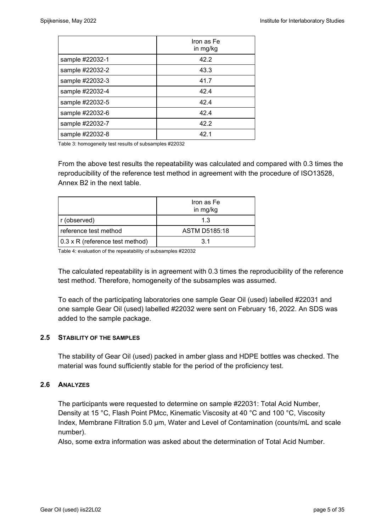|                 | Iron as Fe<br>in mg/kg |
|-----------------|------------------------|
| sample #22032-1 | 42.2                   |
| sample #22032-2 | 43.3                   |
| sample #22032-3 | 41.7                   |
| sample #22032-4 | 42.4                   |
| sample #22032-5 | 42.4                   |
| sample #22032-6 | 42.4                   |
| sample #22032-7 | 42.2                   |
| sample #22032-8 | 42.1                   |

Table 3: homogeneity test results of subsamples #22032

From the above test results the repeatability was calculated and compared with 0.3 times the reproducibility of the reference test method in agreement with the procedure of ISO13528, Annex B2 in the next table.

|                                 | Iron as Fe<br>in mg/kg |
|---------------------------------|------------------------|
| r (observed)                    | 1.3                    |
| reference test method           | ASTM D5185:18          |
| 0.3 x R (reference test method) | 31                     |

Table 4: evaluation of the repeatability of subsamples #22032

The calculated repeatability is in agreement with 0.3 times the reproducibility of the reference test method. Therefore, homogeneity of the subsamples was assumed.

To each of the participating laboratories one sample Gear Oil (used) labelled #22031 and one sample Gear Oil (used) labelled #22032 were sent on February 16, 2022. An SDS was added to the sample package.

### **2.5 STABILITY OF THE SAMPLES**

The stability of Gear Oil (used) packed in amber glass and HDPE bottles was checked. The material was found sufficiently stable for the period of the proficiency test.

#### **2.6 ANALYZES**

The participants were requested to determine on sample #22031: Total Acid Number, Density at 15 °C, Flash Point PMcc, Kinematic Viscosity at 40 °C and 100 °C, Viscosity Index, Membrane Filtration 5.0 µm, Water and Level of Contamination (counts/mL and scale number).

Also, some extra information was asked about the determination of Total Acid Number.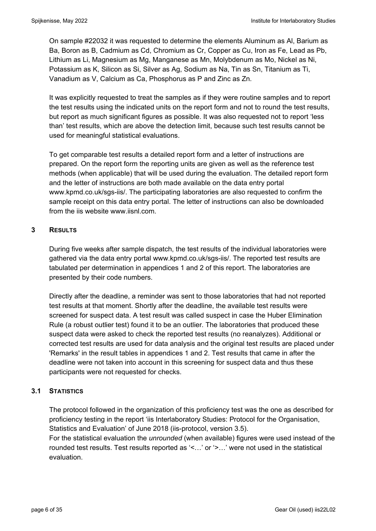On sample #22032 it was requested to determine the elements Aluminum as Al, Barium as Ba, Boron as B, Cadmium as Cd, Chromium as Cr, Copper as Cu, Iron as Fe, Lead as Pb, Lithium as Li, Magnesium as Mg, Manganese as Mn, Molybdenum as Mo, Nickel as Ni, Potassium as K, Silicon as Si, Silver as Ag, Sodium as Na, Tin as Sn, Titanium as Ti, Vanadium as V, Calcium as Ca, Phosphorus as P and Zinc as Zn.

It was explicitly requested to treat the samples as if they were routine samples and to report the test results using the indicated units on the report form and not to round the test results, but report as much significant figures as possible. It was also requested not to report 'less than' test results, which are above the detection limit, because such test results cannot be used for meaningful statistical evaluations.

To get comparable test results a detailed report form and a letter of instructions are prepared. On the report form the reporting units are given as well as the reference test methods (when applicable) that will be used during the evaluation. The detailed report form and the letter of instructions are both made available on the data entry portal www.kpmd.co.uk/sgs-iis/. The participating laboratories are also requested to confirm the sample receipt on this data entry portal. The letter of instructions can also be downloaded from the iis website www.iisnl.com.

## **3 RESULTS**

During five weeks after sample dispatch, the test results of the individual laboratories were gathered via the data entry portal www.kpmd.co.uk/sgs-iis/. The reported test results are tabulated per determination in appendices 1 and 2 of this report. The laboratories are presented by their code numbers.

Directly after the deadline, a reminder was sent to those laboratories that had not reported test results at that moment. Shortly after the deadline, the available test results were screened for suspect data. A test result was called suspect in case the Huber Elimination Rule (a robust outlier test) found it to be an outlier. The laboratories that produced these suspect data were asked to check the reported test results (no reanalyzes). Additional or corrected test results are used for data analysis and the original test results are placed under 'Remarks' in the result tables in appendices 1 and 2. Test results that came in after the deadline were not taken into account in this screening for suspect data and thus these participants were not requested for checks.

## **3.1 STATISTICS**

The protocol followed in the organization of this proficiency test was the one as described for proficiency testing in the report 'iis Interlaboratory Studies: Protocol for the Organisation, Statistics and Evaluation' of June 2018 (iis-protocol, version 3.5).

For the statistical evaluation the *unrounded* (when available) figures were used instead of the rounded test results. Test results reported as '<…' or '>…' were not used in the statistical evaluation.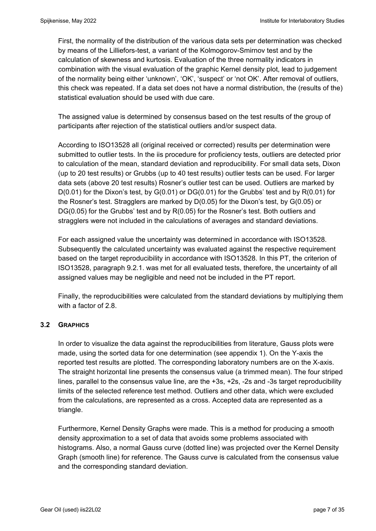First, the normality of the distribution of the various data sets per determination was checked by means of the Lilliefors-test, a variant of the Kolmogorov-Smirnov test and by the calculation of skewness and kurtosis. Evaluation of the three normality indicators in combination with the visual evaluation of the graphic Kernel density plot, lead to judgement of the normality being either 'unknown', 'OK', 'suspect' or 'not OK'. After removal of outliers, this check was repeated. If a data set does not have a normal distribution, the (results of the) statistical evaluation should be used with due care.

The assigned value is determined by consensus based on the test results of the group of participants after rejection of the statistical outliers and/or suspect data.

According to ISO13528 all (original received or corrected) results per determination were submitted to outlier tests. In the iis procedure for proficiency tests, outliers are detected prior to calculation of the mean, standard deviation and reproducibility. For small data sets, Dixon (up to 20 test results) or Grubbs (up to 40 test results) outlier tests can be used. For larger data sets (above 20 test results) Rosner's outlier test can be used. Outliers are marked by D(0.01) for the Dixon's test, by G(0.01) or DG(0.01) for the Grubbs' test and by R(0.01) for the Rosner's test. Stragglers are marked by D(0.05) for the Dixon's test, by G(0.05) or DG(0.05) for the Grubbs' test and by R(0.05) for the Rosner's test. Both outliers and stragglers were not included in the calculations of averages and standard deviations.

For each assigned value the uncertainty was determined in accordance with ISO13528. Subsequently the calculated uncertainty was evaluated against the respective requirement based on the target reproducibility in accordance with ISO13528. In this PT, the criterion of ISO13528, paragraph 9.2.1. was met for all evaluated tests, therefore, the uncertainty of all assigned values may be negligible and need not be included in the PT report.

Finally, the reproducibilities were calculated from the standard deviations by multiplying them with a factor of 2.8.

### **3.2 GRAPHICS**

In order to visualize the data against the reproducibilities from literature, Gauss plots were made, using the sorted data for one determination (see appendix 1). On the Y-axis the reported test results are plotted. The corresponding laboratory numbers are on the X-axis. The straight horizontal line presents the consensus value (a trimmed mean). The four striped lines, parallel to the consensus value line, are the +3s, +2s, -2s and -3s target reproducibility limits of the selected reference test method. Outliers and other data, which were excluded from the calculations, are represented as a cross. Accepted data are represented as a triangle.

Furthermore, Kernel Density Graphs were made. This is a method for producing a smooth density approximation to a set of data that avoids some problems associated with histograms. Also, a normal Gauss curve (dotted line) was projected over the Kernel Density Graph (smooth line) for reference. The Gauss curve is calculated from the consensus value and the corresponding standard deviation.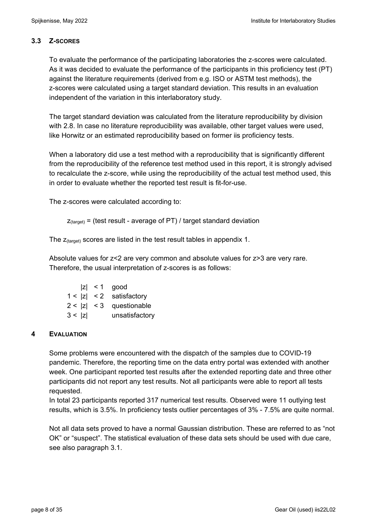### **3.3 Z-SCORES**

To evaluate the performance of the participating laboratories the z-scores were calculated. As it was decided to evaluate the performance of the participants in this proficiency test (PT) against the literature requirements (derived from e.g. ISO or ASTM test methods), the z-scores were calculated using a target standard deviation. This results in an evaluation independent of the variation in this interlaboratory study.

The target standard deviation was calculated from the literature reproducibility by division with 2.8. In case no literature reproducibility was available, other target values were used, like Horwitz or an estimated reproducibility based on former iis proficiency tests.

When a laboratory did use a test method with a reproducibility that is significantly different from the reproducibility of the reference test method used in this report, it is strongly advised to recalculate the z-score, while using the reproducibility of the actual test method used, this in order to evaluate whether the reported test result is fit-for-use.

The z-scores were calculated according to:

```
Z_{\text{target}} = (test result - average of PT) / target standard deviation
```
The  $z_{\text{(target)}}$  scores are listed in the test result tables in appendix 1.

Absolute values for z<2 are very common and absolute values for z>3 are very rare. Therefore, the usual interpretation of z-scores is as follows:

|        | $ z  < 1$ good             |
|--------|----------------------------|
|        | $1 <  z  < 2$ satisfactory |
|        | $2 <  z  < 3$ questionable |
| 3 <  z | unsatisfactory             |

## **4 EVALUATION**

Some problems were encountered with the dispatch of the samples due to COVID-19 pandemic. Therefore, the reporting time on the data entry portal was extended with another week. One participant reported test results after the extended reporting date and three other participants did not report any test results. Not all participants were able to report all tests requested.

In total 23 participants reported 317 numerical test results. Observed were 11 outlying test results, which is 3.5%. In proficiency tests outlier percentages of 3% - 7.5% are quite normal.

Not all data sets proved to have a normal Gaussian distribution. These are referred to as "not OK" or "suspect". The statistical evaluation of these data sets should be used with due care, see also paragraph 3.1.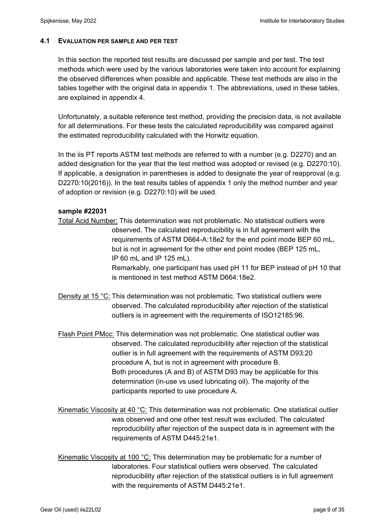### **4.1 EVALUATION PER SAMPLE AND PER TEST**

In this section the reported test results are discussed per sample and per test. The test methods which were used by the various laboratories were taken into account for explaining the observed differences when possible and applicable. These test methods are also in the tables together with the original data in appendix 1. The abbreviations, used in these tables, are explained in appendix 4.

Unfortunately, a suitable reference test method, providing the precision data, is not available for all determinations. For these tests the calculated reproducibility was compared against the estimated reproducibility calculated with the Horwitz equation.

In the iis PT reports ASTM test methods are referred to with a number (e.g. D2270) and an added designation for the year that the test method was adopted or revised (e.g. D2270:10). If applicable, a designation in parentheses is added to designate the year of reapproval (e.g. D2270:10(2016)). In the test results tables of appendix 1 only the method number and year of adoption or revision (e.g. D2270:10) will be used.

### **sample #22031**

Total Acid Number: This determination was not problematic. No statistical outliers were observed. The calculated reproducibility is in full agreement with the requirements of ASTM D664-A:18e2 for the end point mode BEP 60 mL, but is not in agreement for the other end point modes (BEP 125 mL, IP 60 mL and IP 125 mL).

 Remarkably, one participant has used pH 11 for BEP instead of pH 10 that is mentioned in test method ASTM D664:18e2.

Density at 15 °C: This determination was not problematic. Two statistical outliers were observed. The calculated reproducibility after rejection of the statistical outliers is in agreement with the requirements of ISO12185:96.

Flash Point PMcc: This determination was not problematic. One statistical outlier was observed. The calculated reproducibility after rejection of the statistical outlier is in full agreement with the requirements of ASTM D93:20 procedure A, but is not in agreement with procedure B. Both procedures (A and B) of ASTM D93 may be applicable for this determination (in-use vs used lubricating oil). The majority of the participants reported to use procedure A.

Kinematic Viscosity at 40 °C: This determination was not problematic. One statistical outlier was observed and one other test result was excluded. The calculated reproducibility after rejection of the suspect data is in agreement with the requirements of ASTM D445:21e1.

Kinematic Viscosity at 100 °C: This determination may be problematic for a number of laboratories. Four statistical outliers were observed. The calculated reproducibility after rejection of the statistical outliers is in full agreement with the requirements of ASTM D445:21e1.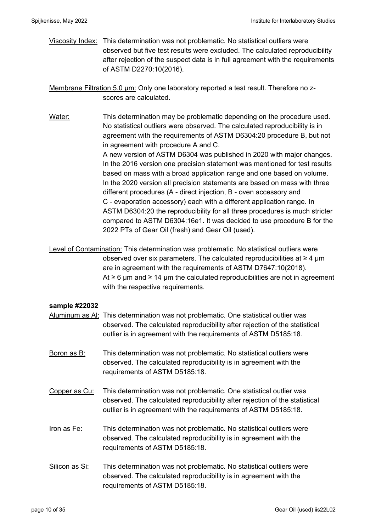Viscosity Index: This determination was not problematic. No statistical outliers were observed but five test results were excluded. The calculated reproducibility after rejection of the suspect data is in full agreement with the requirements of ASTM D2270:10(2016).

Membrane Filtration 5.0 µm: Only one laboratory reported a test result. Therefore no zscores are calculated.

Water: This determination may be problematic depending on the procedure used. No statistical outliers were observed. The calculated reproducibility is in agreement with the requirements of ASTM D6304:20 procedure B, but not in agreement with procedure A and C. A new version of ASTM D6304 was published in 2020 with major changes. In the 2016 version one precision statement was mentioned for test results based on mass with a broad application range and one based on volume. In the 2020 version all precision statements are based on mass with three different procedures (A - direct injection, B - oven accessory and C - evaporation accessory) each with a different application range. In ASTM D6304:20 the reproducibility for all three procedures is much stricter compared to ASTM D6304:16e1. It was decided to use procedure B for the 2022 PTs of Gear Oil (fresh) and Gear Oil (used).

Level of Contamination: This determination was problematic. No statistical outliers were observed over six parameters. The calculated reproducibilities at  $\geq 4$  µm are in agreement with the requirements of ASTM D7647:10(2018). At  $\geq 6$  µm and  $\geq 14$  µm the calculated reproducibilities are not in agreement with the respective requirements.

### **sample #22032**

- Aluminum as Al: This determination was not problematic. One statistical outlier was observed. The calculated reproducibility after rejection of the statistical outlier is in agreement with the requirements of ASTM D5185:18.
- Boron as  $B$ : This determination was not problematic. No statistical outliers were observed. The calculated reproducibility is in agreement with the requirements of ASTM D5185:18.
- Copper as Cu: This determination was not problematic. One statistical outlier was observed. The calculated reproducibility after rejection of the statistical outlier is in agreement with the requirements of ASTM D5185:18.
- Iron as Fe: This determination was not problematic. No statistical outliers were observed. The calculated reproducibility is in agreement with the requirements of ASTM D5185:18.
- Silicon as Si: This determination was not problematic. No statistical outliers were observed. The calculated reproducibility is in agreement with the requirements of ASTM D5185:18.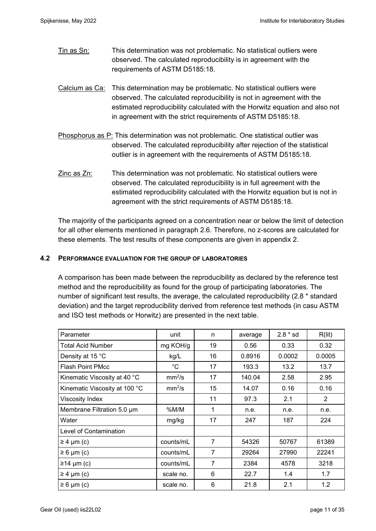Tin as Sn: This determination was not problematic. No statistical outliers were observed. The calculated reproducibility is in agreement with the requirements of ASTM D5185:18.

Calcium as Ca: This determination may be problematic. No statistical outliers were observed. The calculated reproducibility is not in agreement with the estimated reproducibility calculated with the Horwitz equation and also not in agreement with the strict requirements of ASTM D5185:18.

Phosphorus as P: This determination was not problematic. One statistical outlier was observed. The calculated reproducibility after rejection of the statistical outlier is in agreement with the requirements of ASTM D5185:18.

Zinc as Zn: This determination was not problematic. No statistical outliers were observed. The calculated reproducibility is in full agreement with the estimated reproducibility calculated with the Horwitz equation but is not in agreement with the strict requirements of ASTM D5185:18.

The majority of the participants agreed on a concentration near or below the limit of detection for all other elements mentioned in paragraph 2.6. Therefore, no z-scores are calculated for these elements. The test results of these components are given in appendix 2.

### **4.2 PERFORMANCE EVALUATION FOR THE GROUP OF LABORATORIES**

A comparison has been made between the reproducibility as declared by the reference test method and the reproducibility as found for the group of participating laboratories. The number of significant test results, the average, the calculated reproducibility (2.8 \* standard deviation) and the target reproducibility derived from reference test methods (in casu ASTM and ISO test methods or Horwitz) are presented in the next table.

| Parameter                     | unit               | n              | average | $2.8 * sd$ | R(lit)         |
|-------------------------------|--------------------|----------------|---------|------------|----------------|
| Total Acid Number             | mg KOH/g           | 19             | 0.56    | 0.33       | 0.32           |
| Density at 15 °C              | kg/L               | 16             | 0.8916  | 0.0002     | 0.0005         |
| <b>Flash Point PMcc</b>       | $^{\circ}C$        | 17             | 193.3   | 13.2       | 13.7           |
| Kinematic Viscosity at 40 °C  | mm <sup>2</sup> /s | 17             | 140.04  | 2.58       | 2.95           |
| Kinematic Viscosity at 100 °C | mm <sup>2</sup> /s | 15             | 14.07   | 0.16       | 0.16           |
| <b>Viscosity Index</b>        |                    | 11             | 97.3    | 2.1        | $\overline{2}$ |
| Membrane Filtration 5.0 µm    | %M/M               | 1              | n.e.    | n.e.       | n.e.           |
| Water                         | mg/kg              | 17             | 247     | 187        | 224            |
| Level of Contamination        |                    |                |         |            |                |
| $\geq 4$ µm (c)               | counts/mL          | $\overline{7}$ | 54326   | 50767      | 61389          |
| $\geq 6$ µm (c)               | counts/mL          | 7              | 29264   | 27990      | 22241          |
| $≥14 \mu m (c)$               | counts/mL          | $\overline{7}$ | 2384    | 4578       | 3218           |
| $\geq 4$ µm (c)               | scale no.          | 6              | 22.7    | 1.4        | 1.7            |
| $\geq 6 \mu m$ (c)            | scale no.          | 6              | 21.8    | 2.1        | 1.2            |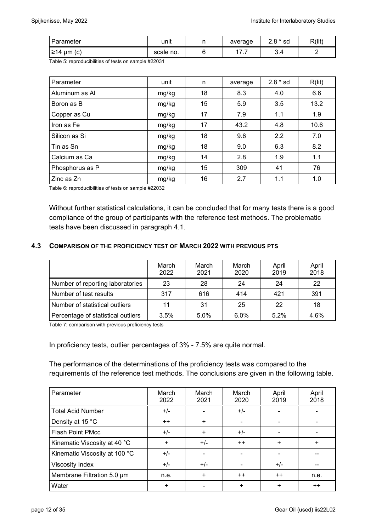| Parameter     | unit      |   | average | $2.8 * sd$ | R(lit) |
|---------------|-----------|---|---------|------------|--------|
| ≥14 μm<br>(C) | scale no. | ີ | 47<br>. | 9.4        |        |

Table 5: reproducibilities of tests on sample #22031

| Parameter       | unit  | n  | average | $2.8 * sd$ | R(lit) |
|-----------------|-------|----|---------|------------|--------|
| Aluminum as Al  | mg/kg | 18 | 8.3     | 4.0        | 6.6    |
| Boron as B      | mg/kg | 15 | 5.9     | 3.5        | 13.2   |
| Copper as Cu    | mg/kg | 17 | 7.9     | 1.1        | 1.9    |
| Iron as Fe      | mg/kg | 17 | 43.2    | 4.8        | 10.6   |
| Silicon as Si   | mg/kg | 18 | 9.6     | 2.2        | 7.0    |
| Tin as Sn       | mg/kg | 18 | 9.0     | 6.3        | 8.2    |
| Calcium as Ca   | mg/kg | 14 | 2.8     | 1.9        | 1.1    |
| Phosphorus as P | mg/kg | 15 | 309     | 41         | 76     |
| Zinc as Zn      | mg/kg | 16 | 2.7     | 1.1        | 1.0    |

Table 6: reproducibilities of tests on sample #22032

Without further statistical calculations, it can be concluded that for many tests there is a good compliance of the group of participants with the reference test methods. The problematic tests have been discussed in paragraph 4.1.

### **4.3 COMPARISON OF THE PROFICIENCY TEST OF MARCH 2022 WITH PREVIOUS PTS**

|                                    | March<br>2022 | March<br>2021 | March<br>2020 | April<br>2019 | April<br>2018 |
|------------------------------------|---------------|---------------|---------------|---------------|---------------|
| Number of reporting laboratories   | 23            | 28            | 24            | 24            | 22            |
| Number of test results             | 317           | 616           | 414           | 421           | 391           |
| Number of statistical outliers     | 11            | 31            | 25            | 22            | 18            |
| Percentage of statistical outliers | 3.5%          | 5.0%          | 6.0%          | 5.2%          | 4.6%          |

Table 7: comparison with previous proficiency tests

In proficiency tests, outlier percentages of 3% - 7.5% are quite normal.

The performance of the determinations of the proficiency tests was compared to the requirements of the reference test methods. The conclusions are given in the following table.

| Parameter                     | March<br>2022 | March<br>2021 | March<br>2020 | April<br>2019 | April<br>2018 |
|-------------------------------|---------------|---------------|---------------|---------------|---------------|
| <b>Total Acid Number</b>      | $+/-$         |               | $+/-$         |               |               |
| Density at 15 °C              | $++$          | $\ddot{}$     |               |               |               |
| <b>Flash Point PMcc</b>       | $+/-$         | $\ddot{}$     | $+/-$         |               |               |
| Kinematic Viscosity at 40 °C  | $\ddot{}$     | $+/-$         | $++$          | $\ddot{}$     | $+$           |
| Kinematic Viscosity at 100 °C | $+/-$         |               |               |               |               |
| Viscosity Index               | $+/-$         | $+/-$         |               | $+/-$         |               |
| Membrane Filtration 5.0 um    | n.e.          | $\ddot{}$     | $++$          | $++$          | n.e.          |
| Water                         | $\ddot{}$     |               | ÷             | ÷             | $++$          |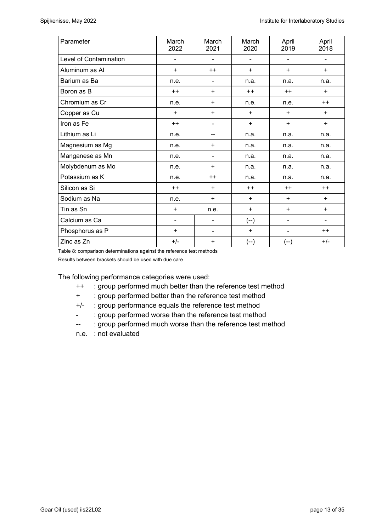| Parameter              | March<br>2022                | March<br>2021  | March<br>2020                | April<br>2019            | April<br>2018                |
|------------------------|------------------------------|----------------|------------------------------|--------------------------|------------------------------|
| Level of Contamination | $\qquad \qquad \blacksquare$ |                | $\qquad \qquad \blacksquare$ |                          |                              |
| Aluminum as Al         | $\ddot{}$                    | $++$           | $+$                          | $+$                      | $+$                          |
| Barium as Ba           | n.e.                         | $\blacksquare$ | n.a.                         | n.a.                     | n.a.                         |
| Boron as B             | $++$                         | $\ddot{}$      | $++$                         | $++$                     | $+$                          |
| Chromium as Cr         | n.e.                         | $\ddot{}$      | n.e.                         | n.e.                     | $++$                         |
| Copper as Cu           | $+$                          | $\ddot{}$      | $+$                          | $+$                      | $+$                          |
| Iron as Fe             | $++$                         | $\blacksquare$ | $+$                          |                          | $+$                          |
| Lithium as Li          | n.e.                         | n.a.<br>$-$    |                              | n.a.                     | n.a.                         |
| Magnesium as Mg        | n.e.                         | $\ddot{}$      | n.a.                         | n.a.                     | n.a.                         |
| Manganese as Mn        | n.e.                         | $\blacksquare$ | n.a.                         | n.a.                     | n.a.                         |
| Molybdenum as Mo       | n.e.                         | $\ddot{}$      | n.a.                         | n.a.                     | n.a.                         |
| Potassium as K         | n.e.                         | $++$           | n.a.                         | n.a.                     | n.a.                         |
| Silicon as Si          | $++$                         | $\ddot{}$      | $++$                         | $++$                     | $++$                         |
| Sodium as Na           | n.e.                         | $\ddot{}$      | $+$                          | $+$                      | $+$                          |
| Tin as Sn              | $\ddot{}$                    | n.e.           | $\ddot{}$                    | $+$                      | $\ddot{}$                    |
| Calcium as Ca          | $\blacksquare$               | -              | $(-)$                        | $\overline{\phantom{0}}$ | $\qquad \qquad \blacksquare$ |
| Phosphorus as P        | $\ddot{}$                    | $\blacksquare$ | $\ddot{}$                    |                          | $++$                         |
| Zinc as Zn             | $+/-$                        | +              | (--)                         | (--)                     | $+/-$                        |

Table 8: comparison determinations against the reference test methods

Results between brackets should be used with due care

The following performance categories were used:

- ++ : group performed much better than the reference test method
- + : group performed better than the reference test method
- +/- : group performance equals the reference test method
- : group performed worse than the reference test method
- -- : group performed much worse than the reference test method
- n.e. : not evaluated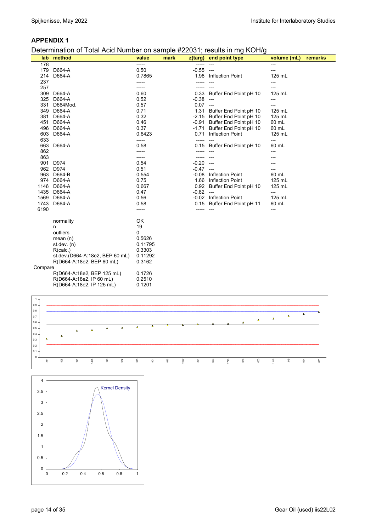#### Determination of Total Acid Number on sample #22031; results in mg KOH/g

|         | lab method                      | value   | mark |             | $z(targ)$ end point type     | volume (mL) | remarks |
|---------|---------------------------------|---------|------|-------------|------------------------------|-------------|---------|
| 178     |                                 | -----   |      | -----       |                              | ---         |         |
|         | 179 D664-A                      | 0.50    |      | $-0.55$ --- |                              | ---         |         |
| 214     | D664-A                          | 0.7865  |      |             | 1.98 Inflection Point        | 125 mL      |         |
| 237     |                                 | -----   |      |             |                              | ---         |         |
| 257     |                                 | -----   |      |             |                              | ---         |         |
| 309     | D664-A                          | 0.60    |      | 0.33        | Buffer End Point pH 10       | 125 mL      |         |
|         | 325 D664-A                      | 0.52    |      | $-0.38$ --- |                              | ---         |         |
|         | 331 D664Mod.                    | 0.57    |      | $0.07$ ---  |                              |             |         |
|         | 349 D664-A                      | 0.71    |      |             | 1.31 Buffer End Point pH 10  | 125 mL      |         |
|         | 381 D664-A                      | 0.32    |      |             | -2.15 Buffer End Point pH 10 | 125 mL      |         |
|         | 451 D664-A                      | 0.46    |      |             | -0.91 Buffer End Point pH 10 | 60 mL       |         |
|         | 496 D664-A                      | 0.37    |      |             | -1.71 Buffer End Point pH 10 | 60 mL       |         |
|         | 603 D664-A                      | 0.6423  |      | 0.71        | <b>Inflection Point</b>      | 125 mL      |         |
| 633     |                                 | -----   |      |             |                              | ---         |         |
|         | 663 D664-A                      | 0.58    |      |             | 0.15 Buffer End Point pH 10  | 60 mL       |         |
| 862     |                                 |         |      |             |                              | ---         |         |
| 863     |                                 | -----   |      |             |                              |             |         |
|         | 901 D974                        | 0.54    |      | $-0.20$ --- |                              |             |         |
|         | 962 D974                        | 0.51    |      | $-0.47$ --- |                              |             |         |
|         | 963 D664-B                      | 0.554   |      | $-0.08$     | <b>Inflection Point</b>      | 60 mL       |         |
|         | 974 D664-A                      | 0.75    |      |             | 1.66 Inflection Point        | 125 mL      |         |
|         | 1146 D664-A                     | 0.667   |      |             | 0.92 Buffer End Point pH 10  | 125 mL      |         |
|         | 1435 D664-A                     | 0.47    |      | $-0.82$ --- |                              | ---         |         |
|         | 1569 D664-A                     | 0.56    |      |             | -0.02 Inflection Point       | 125 mL      |         |
|         | 1743 D664-A                     | 0.58    |      |             | 0.15 Buffer End Point pH 11  | 60 mL       |         |
| 6190    |                                 |         |      |             |                              |             |         |
|         |                                 |         |      |             |                              |             |         |
|         | normality                       | OK      |      |             |                              |             |         |
|         | n                               | 19      |      |             |                              |             |         |
|         | outliers                        | 0       |      |             |                              |             |         |
|         | mean $(n)$                      | 0.5626  |      |             |                              |             |         |
|         | st.dev. $(n)$                   | 0.11795 |      |             |                              |             |         |
|         | R(calc.)                        | 0.3303  |      |             |                              |             |         |
|         | st.dev.(D664-A:18e2, BEP 60 mL) | 0.11292 |      |             |                              |             |         |
|         | R(D664-A:18e2, BEP 60 mL)       | 0.3162  |      |             |                              |             |         |
| Compare |                                 |         |      |             |                              |             |         |
|         | R(D664-A:18e2, BEP 125 mL)      | 0.1726  |      |             |                              |             |         |
|         | R(D664-A:18e2, IP 60 mL)        | 0.2510  |      |             |                              |             |         |
|         | R(D664-A:18e2, IP 125 mL)       | 0.1201  |      |             |                              |             |         |



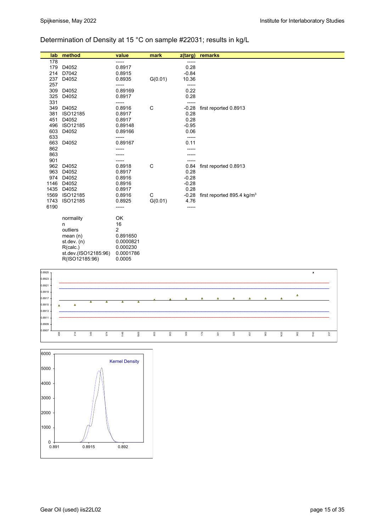# Determination of Density at 15 °C on sample #22031; results in kg/L

| lab  | method               | value          | mark    | z(targ) | remarks                                |
|------|----------------------|----------------|---------|---------|----------------------------------------|
| 178  |                      | -----          |         | -----   |                                        |
| 179  | D4052                | 0.8917         |         | 0.28    |                                        |
| 214  | D7042                | 0.8915         |         | $-0.84$ |                                        |
| 237  | D4052                | 0.8935         | G(0.01) | 10.36   |                                        |
| 257  |                      | -----          |         | ------  |                                        |
| 309  | D4052                | 0.89169        |         | 0.22    |                                        |
| 325  | D4052                | 0.8917         |         | 0.28    |                                        |
| 331  |                      | -----          |         | -----   |                                        |
| 349  | D4052                | 0.8916         | C       | $-0.28$ | first reported 0.8913                  |
|      | 381 ISO12185         | 0.8917         |         | 0.28    |                                        |
| 451  | D4052                | 0.8917         |         | 0.28    |                                        |
|      | 496 ISO12185         | 0.89148        |         | $-0.95$ |                                        |
| 603  | D4052                | 0.89166        |         | 0.06    |                                        |
| 633  |                      | -----          |         | -----   |                                        |
|      | 663 D4052            | 0.89167        |         | 0.11    |                                        |
| 862  |                      |                |         |         |                                        |
| 863  |                      |                |         |         |                                        |
| 901  |                      |                |         |         |                                        |
|      | 962 D4052            | 0.8918         | C       | 0.84    | first reported 0.8913                  |
| 963  | D4052                | 0.8917         |         | 0.28    |                                        |
|      | 974 D4052            | 0.8916         |         | $-0.28$ |                                        |
| 1146 | D4052                | 0.8916         |         | $-0.28$ |                                        |
| 1435 | D4052                | 0.8917         |         | 0.28    |                                        |
| 1569 | ISO12185             | 0.8916         | C       | $-0.28$ | first reported 895.4 kg/m <sup>3</sup> |
| 1743 | ISO12185             | 0.8925         | G(0.01) | 4.76    |                                        |
| 6190 |                      | -----          |         | -----   |                                        |
|      |                      |                |         |         |                                        |
|      | normality            | OK             |         |         |                                        |
|      | n                    | 16             |         |         |                                        |
|      | outliers             | $\overline{2}$ |         |         |                                        |
|      | mean $(n)$           | 0.891650       |         |         |                                        |
|      | st. dev. (n)         | 0.0000821      |         |         |                                        |
|      | R(calc.)             | 0.000230       |         |         |                                        |
|      | st.dev.(ISO12185:96) | 0.0001786      |         |         |                                        |
|      | R(ISO12185:96)       | 0.0005         |         |         |                                        |
|      |                      |                |         |         |                                        |



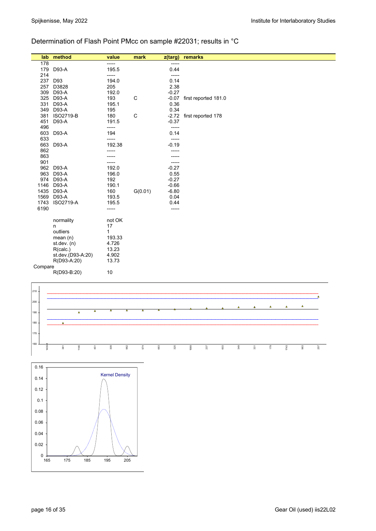# Determination of Flash Point PMcc on sample #22031; results in °C

| lab     | method            | value        | mark    | z(targ) | remarks                  |
|---------|-------------------|--------------|---------|---------|--------------------------|
| 178     |                   | -----        |         | -----   |                          |
| 179     | D93-A             | 195.5        |         | 0.44    |                          |
| 214     |                   | -----        |         | -----   |                          |
| 237     | D93               | 194.0        |         | 0.14    |                          |
| 257     | D3828             | 205          |         | 2.38    |                          |
| 309     | D93-A             | 192.0        |         | $-0.27$ |                          |
| 325     | D93-A             | 193          | C       | $-0.07$ | first reported 181.0     |
| 331     | D93-A             | 195.1        |         | 0.36    |                          |
| 349     | D93-A             | 195          |         | 0.34    |                          |
| 381     | <b>ISO2719-B</b>  | 180          | C       |         | -2.72 first reported 178 |
| 451     | D93-A             | 191.5        |         | $-0.37$ |                          |
| 496     |                   | -----        |         | -----   |                          |
| 603     | D93-A             | 194          |         | 0.14    |                          |
| 633     |                   | -----        |         | -----   |                          |
| 663     | D93-A             | 192.38       |         | $-0.19$ |                          |
| 862     |                   | -----        |         |         |                          |
| 863     |                   |              |         |         |                          |
| 901     |                   | -----        |         | -----   |                          |
| 962     | D93-A             | 192.0        |         | $-0.27$ |                          |
| 963     | D93-A             | 196.0        |         | 0.55    |                          |
| 974     | D93-A             | 192          |         | $-0.27$ |                          |
| 1146    | D93-A             | 190.1        |         | $-0.66$ |                          |
| 1435    | D93-A             | 160          | G(0.01) | $-6.80$ |                          |
| 1569    | D93-A             | 193.5        |         | 0.04    |                          |
| 1743    | <b>ISO2719-A</b>  | 195.5        |         | 0.44    |                          |
| 6190    |                   | -----        |         | -----   |                          |
|         | normality         | not OK       |         |         |                          |
|         | n                 | 17           |         |         |                          |
|         | outliers          | $\mathbf{1}$ |         |         |                          |
|         | mean $(n)$        | 193.33       |         |         |                          |
|         | st.dev. $(n)$     | 4.726        |         |         |                          |
|         | R(calc.)          | 13.23        |         |         |                          |
|         | st.dev.(D93-A:20) | 4.902        |         |         |                          |
|         | R(D93-A:20)       | 13.73        |         |         |                          |
| Compare |                   |              |         |         |                          |
|         | R(D93-B:20)       | 10           |         |         |                          |
|         |                   |              |         |         |                          |



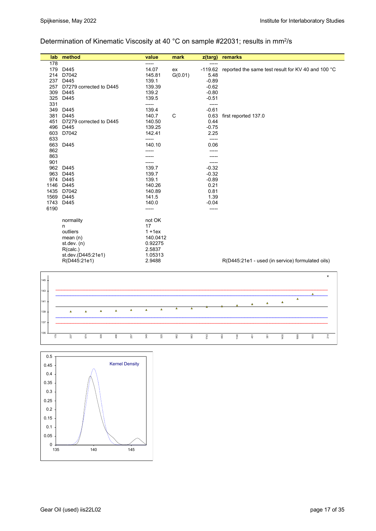# Determination of Kinematic Viscosity at 40 °C on sample #22031; results in mm<sup>2</sup>/s

| lab  | method                  | value        | mark    | z(targ)   | remarks                                            |
|------|-------------------------|--------------|---------|-----------|----------------------------------------------------|
| 178  |                         | -----        |         | -----     |                                                    |
| 179  | D445                    | 14.07        | ex      | $-119.62$ | reported the same test result for KV 40 and 100 °C |
| 214  | D7042                   | 145.81       | G(0.01) | 5.48      |                                                    |
| 237  | D445                    | 139.1        |         | $-0.89$   |                                                    |
| 257  | D7279 corrected to D445 | 139.39       |         | $-0.62$   |                                                    |
| 309  | D445                    | 139.2        |         | $-0.80$   |                                                    |
| 325  | D445                    | 139.5        |         | $-0.51$   |                                                    |
| 331  |                         | -----        |         | -----     |                                                    |
| 349  | D445                    | 139.4        |         | $-0.61$   |                                                    |
| 381  | D445                    | 140.7        | C       | 0.63      | first reported 137.0                               |
| 451  | D7279 corrected to D445 | 140.50       |         | 0.44      |                                                    |
| 496  | D445                    | 139.25       |         | $-0.75$   |                                                    |
| 603  | D7042                   | 142.41       |         | 2.25      |                                                    |
| 633  |                         | -----        |         | -----     |                                                    |
| 663  | D445                    | 140.10       |         | 0.06      |                                                    |
| 862  |                         |              |         |           |                                                    |
| 863  |                         |              |         |           |                                                    |
| 901  |                         |              |         | -----     |                                                    |
| 962  | D445                    | 139.7        |         | $-0.32$   |                                                    |
| 963  | D445                    | 139.7        |         | $-0.32$   |                                                    |
| 974  | D445                    | 139.1        |         | $-0.89$   |                                                    |
| 1146 | D445                    | 140.26       |         | 0.21      |                                                    |
| 1435 | D7042                   | 140.89       |         | 0.81      |                                                    |
| 1569 | D445                    | 141.5        |         | 1.39      |                                                    |
| 1743 | D445                    | 140.0        |         | $-0.04$   |                                                    |
| 6190 |                         | -----        |         | -----     |                                                    |
|      |                         |              |         |           |                                                    |
|      | normality               | not OK<br>17 |         |           |                                                    |
|      | n                       |              |         |           |                                                    |
|      | outliers                | $1 + 1ex$    |         |           |                                                    |
|      | mean $(n)$              | 140.0412     |         |           |                                                    |
|      | st. dev. (n)            | 0.92275      |         |           |                                                    |
|      | R(calc.)                | 2.5837       |         |           |                                                    |
|      | st.dev.(D445:21e1)      | 1.05313      |         |           |                                                    |
|      | R(D445:21e1)            | 2.9488       |         |           | R(D445:21e1 - used (in service) formulated oils)   |



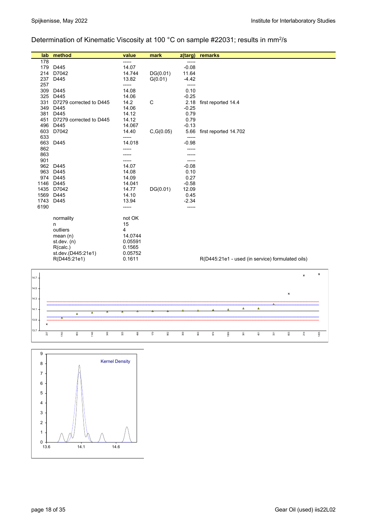# Determination of Kinematic Viscosity at 100 °C on sample #22031; results in mm2/s

| lab  | method                  | value   | mark       | z(targ) | remarks                                          |
|------|-------------------------|---------|------------|---------|--------------------------------------------------|
| 178  |                         | -----   |            | -----   |                                                  |
| 179  | D445                    | 14.07   |            | $-0.08$ |                                                  |
| 214  | D7042                   | 14.744  | DG(0.01)   | 11.64   |                                                  |
| 237  | D445                    | 13.82   | G(0.01)    | $-4.42$ |                                                  |
| 257  |                         | -----   |            | -----   |                                                  |
| 309  | D445                    | 14.08   |            | 0.10    |                                                  |
| 325  | D445                    | 14.06   |            | $-0.25$ |                                                  |
| 331  | D7279 corrected to D445 | 14.2    | C          | 2.18    | first reported 14.4                              |
| 349  | D445                    | 14.06   |            | $-0.25$ |                                                  |
| 381  | D445                    | 14.12   |            | 0.79    |                                                  |
| 451  | D7279 corrected to D445 | 14.12   |            | 0.79    |                                                  |
| 496  | D445                    | 14.067  |            | $-0.13$ |                                                  |
| 603  | D7042                   | 14.40   | C, G(0.05) | 5.66    | first reported 14.702                            |
| 633  |                         | -----   |            |         |                                                  |
| 663  | D445                    | 14.018  |            | $-0.98$ |                                                  |
| 862  |                         |         |            |         |                                                  |
| 863  |                         |         |            |         |                                                  |
| 901  |                         |         |            |         |                                                  |
| 962  | D445                    | 14.07   |            | $-0.08$ |                                                  |
| 963  | D445                    | 14.08   |            | 0.10    |                                                  |
| 974  | D445                    | 14.09   |            | 0.27    |                                                  |
| 1146 | D445                    | 14.041  |            | $-0.58$ |                                                  |
| 1435 | D7042                   | 14.77   | DG(0.01)   | 12.09   |                                                  |
| 1569 | D445                    | 14.10   |            | 0.45    |                                                  |
| 1743 | D445                    | 13.94   |            | $-2.34$ |                                                  |
| 6190 |                         | -----   |            | -----   |                                                  |
|      |                         |         |            |         |                                                  |
|      | normality               | not OK  |            |         |                                                  |
|      | n                       | 15      |            |         |                                                  |
|      | outliers                | 4       |            |         |                                                  |
|      | mean $(n)$              | 14.0744 |            |         |                                                  |
|      | st.dev. $(n)$           | 0.05591 |            |         |                                                  |
|      | R(calc.)                | 0.1565  |            |         |                                                  |
|      | st.dev.(D445:21e1)      | 0.05752 |            |         |                                                  |
|      | R(D445:21e1)            | 0.1611  |            |         | R(D445:21e1 - used (in service) formulated oils) |



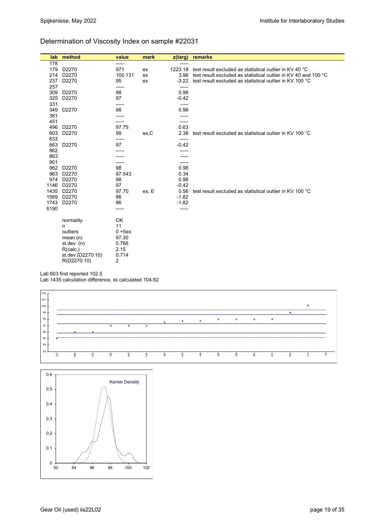### Determination of Viscosity Index on sample #22031

| lab  | method            | value     | mark  | z(targ) | remarks                                                         |
|------|-------------------|-----------|-------|---------|-----------------------------------------------------------------|
| 178  |                   | -----     |       | -----   |                                                                 |
| 179  | D2270             | 971       | ex    | 1223.18 | test result excluded as statistical outlier in KV 40 °C         |
| 214  | D <sub>2270</sub> | 100.131   | ex    | 3.96    | test result excluded as statistical outlier in KV 40 and 100 °C |
| 237  | D2270             | 95        | ex    | $-3.22$ | test result excluded as statistical outlier in KV 100 °C        |
| 257  |                   | -----     |       | -----   |                                                                 |
| 309  | D2270             | 98        |       | 0.98    |                                                                 |
| 325  | D2270             | 97        |       | $-0.42$ |                                                                 |
| 331  |                   | -----     |       | -----   |                                                                 |
| 349  | D2270             | 98        |       | 0.98    |                                                                 |
| 381  |                   |           |       | -----   |                                                                 |
| 451  |                   |           |       | -----   |                                                                 |
| 496  | D2270             | 97.75     |       | 0.63    |                                                                 |
| 603  | D2270             | 99        | ex,C  | 2.38    | test result excluded as statistical outlier in KV 100 °C        |
| 633  |                   | -----     |       | -----   |                                                                 |
| 663  | D2270             | 97        |       | $-0.42$ |                                                                 |
| 862  |                   |           |       |         |                                                                 |
| 863  |                   |           |       |         |                                                                 |
| 901  |                   | -----     |       |         |                                                                 |
|      | 962 D2270         | 98        |       | 0.98    |                                                                 |
| 963  | D2270             | 97.543    |       | 0.34    |                                                                 |
| 974  | D2270             | 98        |       | 0.98    |                                                                 |
| 1146 | D2270             | 97        |       | $-0.42$ |                                                                 |
| 1435 | D2270             | 97.70     | ex, E | 0.56    | test result excluded as statistical outlier in KV 100 °C        |
| 1569 | D2270             | 96        |       | $-1.82$ |                                                                 |
| 1743 | D2270             | 96        |       | $-1.82$ |                                                                 |
| 6190 |                   | -----     |       | -----   |                                                                 |
|      | normality         | OK        |       |         |                                                                 |
|      | n                 | 11        |       |         |                                                                 |
|      | outliers          | $0 + 5ex$ |       |         |                                                                 |
|      | mean $(n)$        | 97.30     |       |         |                                                                 |
|      | st. dev. (n)      | 0.766     |       |         |                                                                 |
|      | R(calc.)          | 2.15      |       |         |                                                                 |
|      | st.dev.(D2270:10) | 0.714     |       |         |                                                                 |
|      | R(D2270:10)       | 2         |       |         |                                                                 |

Lab 603 first reported 102.5

Lab 1435 calculation difference, iis calculated 104.62



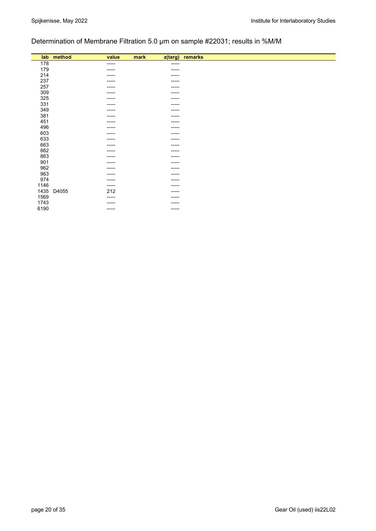# Determination of Membrane Filtration 5.0 µm on sample #22031; results in %M/M

|      | lab method | value       | mark<br>z(targ) | remarks |
|------|------------|-------------|-----------------|---------|
|      |            |             |                 |         |
| 178  |            | -----       | -----           |         |
| 179  |            | -----       | -----           |         |
| 214  |            | -----       | -----           |         |
| 237  |            | -----       | -----           |         |
| 257  |            | -----       | -----           |         |
| 309  |            | ----        | -----           |         |
| 325  |            | ------      | -----           |         |
| 331  |            | ----        | -----           |         |
| 349  |            | -----       | -----           |         |
| 381  |            | -----       | -----           |         |
| 451  |            | -----       | -----           |         |
| 496  |            | -----       | -----           |         |
| 603  |            | -----       | -----           |         |
| 633  |            | -----       | -----           |         |
| 663  |            | ----        | -----           |         |
| 862  |            | -----       | -----           |         |
| 863  |            | -----       | -----           |         |
| 901  |            | -----       | -----           |         |
| 962  |            | -----       | -----           |         |
| 963  |            | -----       | -----           |         |
| 974  |            | -----       | -----           |         |
|      |            |             |                 |         |
| 1146 |            | $-----$     | -----           |         |
| 1435 | D4055      | 212         | -----           |         |
| 1569 |            | -----       | -----           |         |
| 1743 |            | -----       | -----           |         |
| 6190 |            | $- - - - -$ | -----           |         |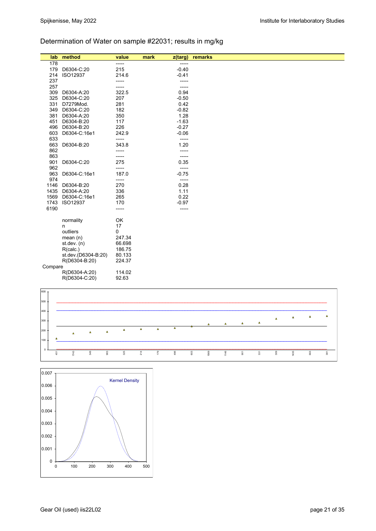# Determination of Water on sample #22031; results in mg/kg

| lab     | method              | value  | mark<br>$z$ (targ) | remarks |
|---------|---------------------|--------|--------------------|---------|
| 178     |                     | -----  | $--- -$            |         |
| 179     | D6304-C:20          | 215    | $-0.40$            |         |
| 214     | ISO12937            | 214.6  | $-0.41$            |         |
| 237     |                     | -----  | -----              |         |
| 257     |                     | -----  | $-----$            |         |
| 309     | D6304-A:20          | 322.5  | 0.94               |         |
| 325     | D6304-C:20          | 207    | $-0.50$            |         |
| 331     | D7279Mod.           | 281    | 0.42               |         |
| 349     | D6304-C:20          | 182    | $-0.82$            |         |
| 381     | D6304-A:20          | 350    | 1.28               |         |
| 451     | D6304-B:20          | 117    | $-1.63$            |         |
| 496     | D6304-B:20          | 226    | $-0.27$            |         |
| 603     | D6304-C:16e1        | 242.9  | $-0.06$            |         |
| 633     |                     | -----  | -----              |         |
| 663     | D6304-B:20          | 343.8  | 1.20               |         |
| 862     |                     | -----  | -----              |         |
| 863     |                     | -----  | -----              |         |
| 901     | D6304-C:20          | 275    | 0.35               |         |
| 962     |                     | -----  | -----              |         |
| 963     | D6304-C:16e1        | 187.0  | $-0.75$            |         |
| 974     |                     | -----  | -----              |         |
| 1146    | D6304-B:20          | 270    | 0.28               |         |
| 1435    | D6304-A:20          | 336    | 1.11               |         |
| 1569    | D6304-C:16e1        | 265    | 0.22               |         |
| 1743    | ISO12937            | 170    | $-0.97$            |         |
| 6190    |                     | -----  | -----              |         |
|         | normality           | OK     |                    |         |
|         | n                   | 17     |                    |         |
|         | outliers            | 0      |                    |         |
|         | mean $(n)$          | 247.34 |                    |         |
|         | st. dev. (n)        | 66.698 |                    |         |
|         | R(calc.)            | 186.75 |                    |         |
|         | st.dev.(D6304-B:20) | 80.133 |                    |         |
|         | R(D6304-B:20)       | 224.37 |                    |         |
| Compare |                     |        |                    |         |
|         | R(D6304-A:20)       | 114.02 |                    |         |
|         | R(D6304-C:20)       | 92.63  |                    |         |
|         |                     |        |                    |         |
| 600     |                     |        |                    |         |
| $500 -$ |                     |        |                    |         |



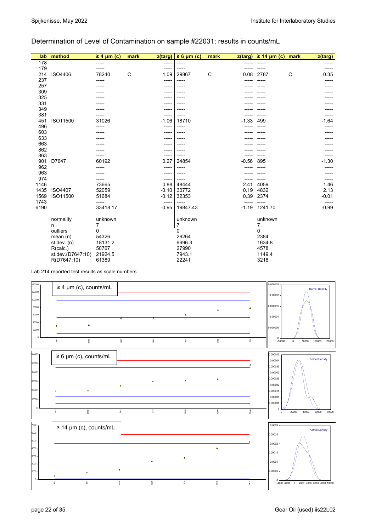### Determination of Level of Contamination on sample #22031; results in counts/mL

| lab          | method            | $\geq 4$ µm (c)   | mark | z(targ)          | $\geq 6 \mu m$ (c) | mark         | z(targ)          | $\geq$ 14 µm (c) mark |              | z(targ)          |
|--------------|-------------------|-------------------|------|------------------|--------------------|--------------|------------------|-----------------------|--------------|------------------|
| 178          |                   | -----             |      | -----            | -----              |              | -----            | -----                 |              |                  |
| 179          |                   |                   |      | -----            | -----              |              | -----            | -----                 |              |                  |
| 214          | ISO4406           | 78240             | C    | 1.09             | 29867              | $\mathsf{C}$ | 0.08             | 2787                  | $\mathsf{C}$ | 0.35             |
| 237          |                   |                   |      | -----            | -----              |              | -----            | -----                 |              |                  |
| 257          |                   |                   |      | -----            |                    |              | ----             |                       |              |                  |
| 309          |                   |                   |      |                  |                    |              |                  |                       |              |                  |
| 325          |                   |                   |      |                  |                    |              |                  |                       |              |                  |
| 331          |                   |                   |      |                  |                    |              |                  |                       |              |                  |
| 349          |                   |                   |      |                  |                    |              |                  |                       |              |                  |
| 381          |                   |                   |      |                  |                    |              | -----            |                       |              |                  |
| 451          | ISO11500          | 31026             |      | $-1.06$          | 18710              |              | $-1.33$          | 499                   |              | $-1.64$          |
| 496          |                   |                   |      |                  | -----              |              | -----            |                       |              |                  |
| 603          |                   |                   |      |                  |                    |              |                  |                       |              |                  |
| 633          |                   |                   |      |                  |                    |              |                  |                       |              |                  |
| 663          |                   |                   |      |                  |                    |              |                  |                       |              |                  |
| 862          |                   |                   |      |                  |                    |              |                  |                       |              |                  |
| 863          |                   |                   |      | -----            |                    |              | -----            |                       |              |                  |
| 901          | D7647             | 60192             |      | 0.27             | 24854              |              | $-0.56$          | 895                   |              | $-1.30$          |
| 962          |                   |                   |      | -----            | -----              |              | -----            |                       |              |                  |
| 963          |                   |                   |      |                  |                    |              | -----            |                       |              |                  |
| 974          |                   |                   |      | ------           |                    |              | -----            |                       |              |                  |
| 1146         |                   | 73665             |      | 0.88             | 48444              |              | 2.41             | 4059                  |              | 1.46             |
| 1435         | ISO4407           | 52059             |      | $-0.10$          | 30772              |              | 0.19             | 4832                  |              | 2.13             |
| 1569         | ISO11500          | 51684             |      | $-0.12$          | 32353              |              | 0.39             | 2374                  |              | $-0.01$          |
| 1743<br>6190 |                   | -----<br>33418.17 |      | -----<br>$-0.95$ | -----<br>19847.43  |              | -----<br>$-1.19$ | -----<br>1241.70      |              | -----<br>$-0.99$ |
|              | normality         | unknown           |      |                  | unknown            |              |                  | unknown               |              |                  |
|              | n                 | 7                 |      |                  | 7                  |              |                  | 7                     |              |                  |
|              | outliers          | 0                 |      |                  | 0                  |              |                  | 0                     |              |                  |
|              | mean $(n)$        | 54326             |      |                  | 29264              |              |                  | 2384                  |              |                  |
|              | st dev. $(n)$     | 18131.2           |      |                  | 9996.3             |              |                  | 1634.8                |              |                  |
|              | R(calc.)          | 50767             |      |                  | 27990              |              |                  | 4578                  |              |                  |
|              | st.dev.(D7647:10) | 21924.5           |      |                  | 7943.1             |              |                  | 1149.4                |              |                  |
|              | R(D7647:10)       | 61389             |      |                  | 22241              |              |                  | 3218                  |              |                  |

Lab 214 reported test results as scale numbers

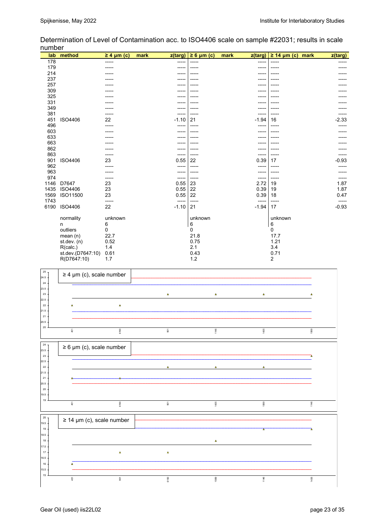|      | lab method        | $\geq 4$ µm (c) | mark<br>z(targ) | $\geq 6$ µm (c) | mark<br>z(targ) | $\geq$ 14 µm (c) mark | z(targ)          |
|------|-------------------|-----------------|-----------------|-----------------|-----------------|-----------------------|------------------|
| 178  |                   |                 | ----            |                 | -----           |                       |                  |
| 179  |                   |                 | -----           |                 |                 |                       |                  |
| 214  |                   |                 | ----            |                 |                 |                       |                  |
| 237  |                   |                 |                 |                 |                 |                       |                  |
| 257  |                   |                 |                 |                 |                 |                       |                  |
| 309  |                   |                 |                 |                 |                 |                       |                  |
| 325  |                   |                 |                 |                 |                 |                       |                  |
| 331  |                   |                 |                 |                 |                 |                       |                  |
| 349  |                   |                 |                 |                 |                 |                       |                  |
| 381  |                   |                 | -----           | -----           | -----           |                       |                  |
| 451  | ISO4406           | 22              | $-1.10$         | 21              | $-1.94$         | 16                    | $-2.33$          |
| 496  |                   |                 |                 |                 | -----           |                       |                  |
| 603  |                   |                 |                 |                 |                 |                       |                  |
| 633  |                   |                 |                 |                 |                 |                       |                  |
| 663  |                   |                 |                 |                 |                 |                       |                  |
| 862  |                   |                 | ----            |                 | ----            |                       |                  |
| 863  |                   |                 |                 | -----           | -----           |                       |                  |
| 901  | <b>ISO4406</b>    | 23              | 0.55            | 22              | 0.39            | 17                    | $-0.93$          |
| 962  |                   |                 | -----           | -----           | -----           |                       |                  |
| 963  |                   |                 | -----           | -----           | -----           |                       |                  |
| 974  |                   | -----           | -----           | -----           | -----           | -----                 |                  |
| 1146 | D7647             | 23              | 0.55            | 23              | 2.72            | 19                    | 1.87             |
| 1435 | <b>ISO4406</b>    | 23              | 0.55            | 22              | 0.39            | 19                    | 1.87             |
| 1569 | ISO11500          | 23              | 0.55            | 22              | 0.39            | 18                    | 0.47             |
| 1743 |                   | -----           | -----           | -----           | -----           | -----<br>17           | -----<br>$-0.93$ |
| 6190 | <b>ISO4406</b>    | 22              | $-1.10$         | 21              | $-1.94$         |                       |                  |
|      | normality         | unknown         |                 | unknown         |                 | unknown               |                  |
|      | n                 | 6               |                 | 6               |                 | 6                     |                  |
|      | outliers          | 0               |                 | $\Omega$        |                 | 0                     |                  |
|      | mean(n)           | 22.7            |                 | 21.8            |                 | 17.7                  |                  |
|      | st.dev. (n)       | 0.52            |                 | 0.75            |                 | 1.21                  |                  |
|      | R(calc.)          | 1.4             |                 | 2.1             |                 | 3.4                   |                  |
|      | st.dev.(D7647:10) | 0.61            |                 | 0.43            |                 | 0.71                  |                  |
|      | R(D7647:10)       | 1.7             |                 | $1.2$           |                 | $\overline{2}$        |                  |
|      |                   |                 |                 |                 |                 |                       |                  |
|      |                   |                 |                 |                 |                 |                       |                  |

Determination of Level of Contamination acc. to ISO4406 scale on sample #22031; results in scale number

| $\bf 25$<br>24.5                 | $\geq 4$ µm (c), scale number          |                         |                |                  |      |
|----------------------------------|----------------------------------------|-------------------------|----------------|------------------|------|
| ${\bf 24}$<br>23.5<br>${\bf 23}$ |                                        | $\Delta$                | $\pmb{\Delta}$ | $\pmb{\Delta}$   | Δ    |
| 22.5<br>${\bf 22}$<br>21.5       | $\pmb{\Delta}$<br>$\Delta$             |                         |                |                  |      |
| 21<br>20.5                       |                                        |                         |                |                  |      |
| 20                               | 6190<br>$\frac{5}{4}$                  | $\overline{\mathbb{S}}$ | 1146           | 1435             | 1569 |
| 24<br>23.5                       | $\geq 6$ µm (c), scale number          |                         |                |                  |      |
| ${\bf 23}$<br>22.5<br>${\bf 22}$ |                                        | $\pmb{\Delta}$          | $\Delta$       | $\Delta$         |      |
| 21.5<br>21<br>20.5               |                                        |                         |                |                  |      |
| 20<br>19.5                       |                                        |                         |                |                  |      |
| 19                               | 6190<br>$\frac{5}{9}$                  | $\overline{\mathbb{S}}$ | 1435           | 1569             | 1146 |
| 20<br>19.5                       | $\geq$ 14 µm (c), scale number         |                         |                |                  |      |
| $19$<br>18.5<br>18               |                                        |                         | $\Delta$       | $\blacktriangle$ |      |
| 17.5<br>17                       | $\Delta$                               | $\Delta$                |                |                  |      |
| 16.5<br>16                       | Δ                                      |                         |                |                  |      |
| 15.5<br>15                       | $45\,$<br>$\overline{\phantom{0}}$ 901 | 6190                    | 1569           | 1146             | 1435 |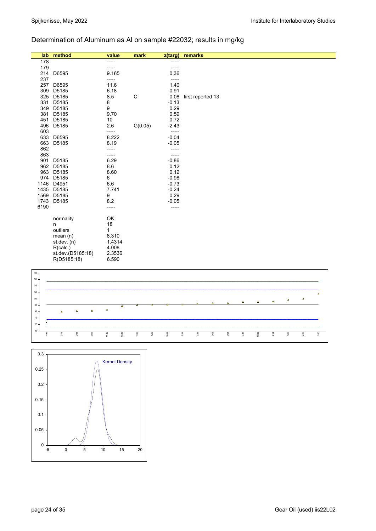# Determination of Aluminum as Al on sample #22032; results in mg/kg

| lab  | method            | value  | mark    | z(targ) | remarks           |
|------|-------------------|--------|---------|---------|-------------------|
| 178  |                   | -----  |         | -----   |                   |
| 179  |                   | -----  |         |         |                   |
| 214  | D6595             | 9.165  |         | 0.36    |                   |
| 237  |                   | -----  |         | -----   |                   |
| 257  | D6595             | 11.6   |         | 1.40    |                   |
| 309  | D5185             | 6.18   |         | $-0.91$ |                   |
| 325  | D5185             | 8.5    | C       | 0.08    | first reported 13 |
| 331  | D5185             | 8      |         | $-0.13$ |                   |
| 349  | D5185             | 9      |         | 0.29    |                   |
| 381  | D5185             | 9.70   |         | 0.59    |                   |
| 451  | D5185             | 10     |         | 0.72    |                   |
| 496  | D5185             | 2.6    | G(0.05) | $-2.43$ |                   |
| 603  |                   | -----  |         | -----   |                   |
| 633  | D6595             | 8.222  |         | $-0.04$ |                   |
| 663  | D5185             | 8.19   |         | $-0.05$ |                   |
| 862  |                   | -----  |         | -----   |                   |
| 863  |                   | -----  |         | -----   |                   |
| 901  | D5185             | 6.29   |         | $-0.86$ |                   |
| 962  | D5185             | 8.6    |         | 0.12    |                   |
| 963  | D5185             | 8.60   |         | 0.12    |                   |
| 974  | D5185             | 6      |         | $-0.98$ |                   |
| 1146 | D4951             | 6.6    |         | $-0.73$ |                   |
| 1435 | D5185             | 7.741  |         | $-0.24$ |                   |
| 1569 | D5185             | 9      |         | 0.29    |                   |
| 1743 | D5185             | 8.2    |         | $-0.05$ |                   |
| 6190 |                   | -----  |         | -----   |                   |
|      | normality         | OK     |         |         |                   |
|      | n                 | 18     |         |         |                   |
|      | outliers          | 1      |         |         |                   |
|      | mean $(n)$        | 8.310  |         |         |                   |
|      | st.dev. (n)       | 1.4314 |         |         |                   |
|      | R(calc.)          | 4.008  |         |         |                   |
|      | st.dev.(D5185:18) | 2.3536 |         |         |                   |
|      | R(D5185:18)       | 6.590  |         |         |                   |



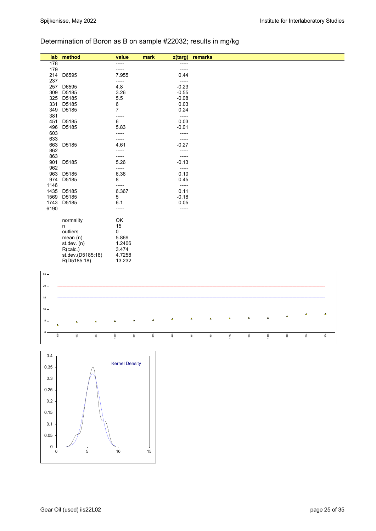# Determination of Boron as B on sample #22032; results in mg/kg

| lab  | method            | value  | mark | z(targ) | remarks |
|------|-------------------|--------|------|---------|---------|
| 178  |                   | -----  |      | -----   |         |
| 179  |                   | -----  |      | -----   |         |
| 214  | D6595             | 7.955  |      | 0.44    |         |
| 237  |                   | -----  |      | -----   |         |
| 257  | D6595             | 4.8    |      | $-0.23$ |         |
| 309  | D5185             | 3.26   |      | $-0.55$ |         |
| 325  | D5185             | 5.5    |      | $-0.08$ |         |
| 331  | D5185             | 6      |      | 0.03    |         |
| 349  | D5185             | 7      |      | 0.24    |         |
| 381  |                   | -----  |      | $-----$ |         |
| 451  | D5185             | 6      |      | 0.03    |         |
| 496  | D5185             | 5.83   |      | $-0.01$ |         |
| 603  |                   | -----  |      | -----   |         |
| 633  |                   | -----  |      | -----   |         |
| 663  | D5185             | 4.61   |      | $-0.27$ |         |
| 862  |                   | -----  |      | -----   |         |
| 863  |                   | -----  |      | -----   |         |
| 901  | D5185             | 5.26   |      | $-0.13$ |         |
| 962  |                   | -----  |      | -----   |         |
| 963  | D5185             | 6.36   |      | 0.10    |         |
| 974  | D5185             | 8      |      | 0.45    |         |
| 1146 |                   | -----  |      | -----   |         |
| 1435 | D5185             | 6.367  |      | 0.11    |         |
| 1569 | D5185             | 5      |      | $-0.18$ |         |
| 1743 | D5185             | 6.1    |      | 0.05    |         |
| 6190 |                   | -----  |      | -----   |         |
|      | normality         | OK     |      |         |         |
|      | n                 | 15     |      |         |         |
|      | outliers          | 0      |      |         |         |
|      | mean $(n)$        | 5.869  |      |         |         |
|      | st. dev. (n)      | 1.2406 |      |         |         |
|      | R(calc.)          | 3.474  |      |         |         |
|      | st.dev.(D5185:18) | 4.7258 |      |         |         |
|      | R(D5185:18)       | 13.232 |      |         |         |
|      |                   |        |      |         |         |



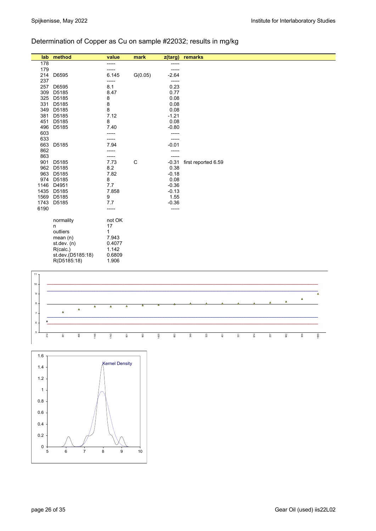# Determination of Copper as Cu on sample #22032; results in mg/kg

| lab  | method            | value   | mark        | z(targ) | remarks             |  |
|------|-------------------|---------|-------------|---------|---------------------|--|
| 178  |                   | -----   |             | -----   |                     |  |
| 179  |                   | -----   |             | -----   |                     |  |
| 214  | D6595             | 6.145   | G(0.05)     | $-2.64$ |                     |  |
| 237  |                   | -----   |             | -----   |                     |  |
| 257  | D6595             | 8.1     |             | 0.23    |                     |  |
| 309  | D5185             | 8.47    |             | 0.77    |                     |  |
| 325  | D5185             | 8       |             | 0.08    |                     |  |
| 331  | D5185             | $\bf 8$ |             | 0.08    |                     |  |
| 349  | D5185             | 8       |             | 0.08    |                     |  |
| 381  | D5185             | 7.12    |             | $-1.21$ |                     |  |
| 451  | D5185             | 8       |             | 0.08    |                     |  |
| 496  | D5185             | 7.40    |             | $-0.80$ |                     |  |
| 603  |                   | -----   |             |         |                     |  |
| 633  |                   | -----   |             | -----   |                     |  |
| 663  | D5185             | 7.94    |             | $-0.01$ |                     |  |
| 862  |                   |         |             |         |                     |  |
| 863  |                   | -----   |             | -----   |                     |  |
| 901  | D5185             | 7.73    | $\mathsf C$ | $-0.31$ | first reported 6.59 |  |
| 962  | D5185             | 8.2     |             | 0.38    |                     |  |
| 963  | D5185             | 7.82    |             | $-0.18$ |                     |  |
| 974  | D5185             | 8       |             | 0.08    |                     |  |
| 1146 | D4951             | 7.7     |             | $-0.36$ |                     |  |
| 1435 | D5185             | 7.858   |             | $-0.13$ |                     |  |
| 1569 | D5185             | 9       |             | 1.55    |                     |  |
| 1743 | D5185             | 7.7     |             | $-0.36$ |                     |  |
| 6190 |                   | -----   |             | -----   |                     |  |
|      |                   |         |             |         |                     |  |
|      | normality         | not OK  |             |         |                     |  |
|      | n                 | 17      |             |         |                     |  |
|      | outliers          | 1       |             |         |                     |  |
|      | mean $(n)$        | 7.943   |             |         |                     |  |
|      | st. dev. (n)      | 0.4077  |             |         |                     |  |
|      | R(calc.)          | 1.142   |             |         |                     |  |
|      | st.dev.(D5185:18) | 0.6809  |             |         |                     |  |
|      | R(D5185:18)       | 1.906   |             |         |                     |  |
|      |                   |         |             |         |                     |  |



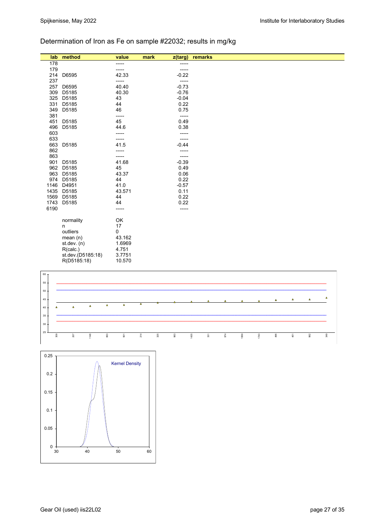# Determination of Iron as Fe on sample #22032; results in mg/kg

| lab  | method            | value  | mark<br>z(targ) | remarks |
|------|-------------------|--------|-----------------|---------|
| 178  |                   | -----  | -----           |         |
| 179  |                   | -----  |                 |         |
| 214  | D6595             | 42.33  | $-0.22$         |         |
| 237  |                   | -----  | -----           |         |
| 257  | D6595             | 40.40  | $-0.73$         |         |
| 309  | D5185             | 40.30  | $-0.76$         |         |
| 325  | D5185             | 43     | $-0.04$         |         |
| 331  | D5185             | 44     | 0.22            |         |
| 349  | D5185             | 46     | 0.75            |         |
| 381  |                   | -----  | -----           |         |
| 451  | D5185             | 45     | 0.49            |         |
| 496  | D5185             | 44.6   | 0.38            |         |
| 603  |                   | -----  | -----           |         |
| 633  |                   | -----  | -----           |         |
| 663  | D5185             | 41.5   | $-0.44$         |         |
| 862  |                   | -----  | -----           |         |
| 863  |                   | -----  | -----           |         |
| 901  | D5185             | 41.68  | $-0.39$         |         |
| 962  | D5185             | 45     | 0.49            |         |
| 963  | D5185             | 43.37  | 0.06            |         |
| 974  | D5185             | 44     | 0.22            |         |
| 1146 | D4951             | 41.0   | $-0.57$         |         |
| 1435 | D5185             | 43.571 | 0.11            |         |
| 1569 | D5185             | 44     | 0.22            |         |
| 1743 | D5185             | 44     | 0.22            |         |
| 6190 |                   | -----  | -----           |         |
|      |                   |        |                 |         |
|      | normality         | OK     |                 |         |
|      | n                 | 17     |                 |         |
|      | outliers          | 0      |                 |         |
|      | mean $(n)$        | 43.162 |                 |         |
|      | st.dev. $(n)$     | 1.6969 |                 |         |
|      | R(calc.)          | 4.751  |                 |         |
|      | st.dev.(D5185:18) | 3.7751 |                 |         |
|      | R(D5185:18)       | 10.570 |                 |         |



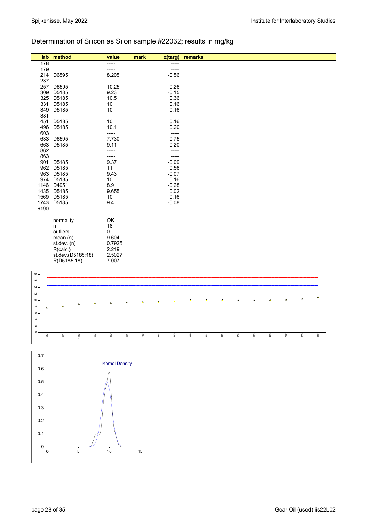# Determination of Silicon as Si on sample #22032; results in mg/kg

| lab  | method            | value  | mark<br>z(targ) | remarks |
|------|-------------------|--------|-----------------|---------|
| 178  |                   | -----  | -----           |         |
| 179  |                   | -----  | -----           |         |
| 214  | D6595             | 8.205  | $-0.56$         |         |
| 237  |                   | -----  | -----           |         |
| 257  | D6595             | 10.25  | 0.26            |         |
| 309  | D5185             | 9.23   | $-0.15$         |         |
| 325  | D5185             | 10.5   | 0.36            |         |
| 331  | D5185             | 10     | 0.16            |         |
| 349  | D5185             | 10     | 0.16            |         |
| 381  |                   | -----  | -----           |         |
| 451  | D5185             | 10     | 0.16            |         |
| 496  | D5185             | 10.1   | 0.20            |         |
| 603  |                   | -----  | -----           |         |
| 633  | D6595             | 7.730  | $-0.75$         |         |
| 663  | D5185             | 9.11   | $-0.20$         |         |
| 862  |                   | -----  | -----           |         |
| 863  |                   | -----  | -----           |         |
| 901  | D5185             | 9.37   | $-0.09$         |         |
| 962  | D5185             | 11     | 0.56            |         |
| 963  | D5185             | 9.43   | $-0.07$         |         |
| 974  | D5185             | 10     | 0.16            |         |
| 1146 | D4951             | 8.9    | $-0.28$         |         |
| 1435 | D5185             | 9.655  | 0.02            |         |
| 1569 | D5185             | 10     | 0.16            |         |
| 1743 | D5185             | 9.4    | $-0.08$         |         |
| 6190 |                   | -----  | -----           |         |
|      |                   | OK     |                 |         |
|      | normality         | 18     |                 |         |
|      | n<br>outliers     | 0      |                 |         |
|      |                   |        |                 |         |
|      | mean $(n)$        | 9.604  |                 |         |
|      | st.dev. $(n)$     | 0.7925 |                 |         |
|      | R(calc.)          | 2.219  |                 |         |
|      | st.dev.(D5185:18) | 2.5027 |                 |         |
|      | R(D5185:18)       | 7.007  |                 |         |
|      |                   |        |                 |         |



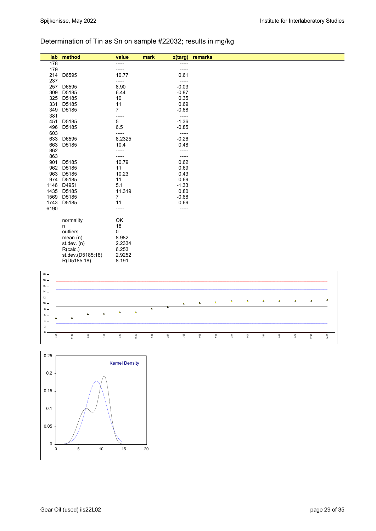# Determination of Tin as Sn on sample #22032; results in mg/kg

| lab  | method            | value          | mark<br>z(targ) | remarks |
|------|-------------------|----------------|-----------------|---------|
| 178  |                   | -----          | -----           |         |
| 179  |                   | -----          | -----           |         |
| 214  | D6595             | 10.77          | 0.61            |         |
| 237  |                   | -----          | -----           |         |
| 257  | D6595             | 8.90           | $-0.03$         |         |
| 309  | D5185             | 6.44           | $-0.87$         |         |
| 325  | D5185             | 10             | 0.35            |         |
| 331  | D5185             | 11             | 0.69            |         |
| 349  | D5185             | $\overline{7}$ | $-0.68$         |         |
| 381  |                   | -----          | -----           |         |
| 451  | D5185             | $\sqrt{5}$     | $-1.36$         |         |
| 496  | D5185             | 6.5            | $-0.85$         |         |
| 603  |                   | -----          | -----           |         |
| 633  | D6595             | 8.2325         | $-0.26$         |         |
| 663  | D5185             | 10.4           | 0.48            |         |
| 862  |                   | -----          | -----           |         |
| 863  |                   | -----          | -----           |         |
| 901  | D5185             | 10.79          | 0.62            |         |
| 962  | D5185             | 11             | 0.69            |         |
| 963  | D5185             | 10.23          | 0.43            |         |
| 974  | D5185             | 11             | 0.69            |         |
| 1146 | D4951             | 5.1            | $-1.33$         |         |
| 1435 | D5185             | 11.319         | 0.80            |         |
| 1569 | D5185             | $\overline{7}$ | $-0.68$         |         |
| 1743 | D5185             | 11             | 0.69            |         |
| 6190 |                   | -----          | -----           |         |
|      |                   |                |                 |         |
|      | normality         | OK             |                 |         |
|      | n                 | 18             |                 |         |
|      | outliers          | 0              |                 |         |
|      | mean $(n)$        | 8.982          |                 |         |
|      | st. dev. (n)      | 2.2334         |                 |         |
|      | R(calc.)          | 6.253          |                 |         |
|      | st.dev.(D5185:18) | 2.9252         |                 |         |
|      | R(D5185:18)       | 8.191          |                 |         |
|      |                   |                |                 |         |



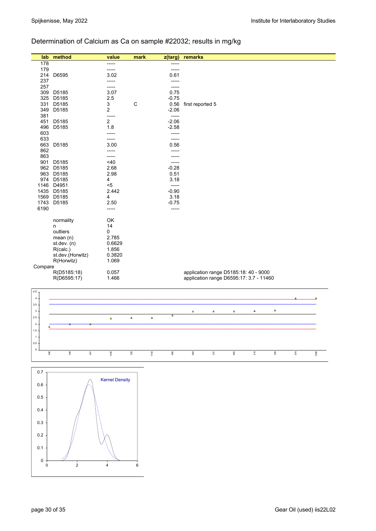# Determination of Calcium as Ca on sample #22032; results in mg/kg

| lab        | method           | value          | mark        | z(targ)         | remarks                                 |
|------------|------------------|----------------|-------------|-----------------|-----------------------------------------|
| 178        |                  | -----          |             | -----           |                                         |
| 179        |                  | -----          |             | -----           |                                         |
| 214        | D6595            | 3.02           |             | 0.61            |                                         |
| 237        |                  | -----          |             | -----           |                                         |
| 257        |                  | -----          |             | -----           |                                         |
| 309        | D5185            | 3.07           |             | 0.75            |                                         |
| 325        | D5185            | 2.5            | $\mathsf C$ | $-0.75$         |                                         |
| 331<br>349 | D5185<br>D5185   | 3<br>2         |             | 0.56<br>$-2.06$ | first reported 5                        |
| 381        |                  | -----          |             | -----           |                                         |
| 451        | D5185            | $\overline{2}$ |             | $-2.06$         |                                         |
| 496        | D5185            | 1.8            |             | $-2.58$         |                                         |
| 603        |                  | -----          |             | -----           |                                         |
| 633        |                  |                |             | -----           |                                         |
| 663        | D5185            | 3.00           |             | 0.56            |                                         |
| 862        |                  | -----          |             | -----           |                                         |
| 863        |                  | -----          |             | -----           |                                         |
| 901        | D5185            | $<$ 40         |             | -----           |                                         |
|            | 962 D5185        | 2.68           |             | $-0.28$         |                                         |
|            | 963 D5185        | 2.98           |             | 0.51            |                                         |
|            | 974 D5185        | 4              |             | 3.18            |                                         |
|            | 1146 D4951       | $5$            |             | -----           |                                         |
|            | 1435 D5185       | 2.442          |             | $-0.90$         |                                         |
| 1569       | D5185            | 4              |             | 3.18            |                                         |
| 1743       | D5185            | 2.50           |             | $-0.75$         |                                         |
| 6190       |                  | -----          |             | -----           |                                         |
|            | normality        | OK             |             |                 |                                         |
|            | n                | 14             |             |                 |                                         |
|            | outliers         | 0              |             |                 |                                         |
|            | mean(n)          | 2.785          |             |                 |                                         |
|            | st. dev. (n)     | 0.6629         |             |                 |                                         |
|            | R(calc.)         | 1.856          |             |                 |                                         |
|            | st.dev.(Horwitz) | 0.3820         |             |                 |                                         |
|            | R(Horwitz)       | 1.069          |             |                 |                                         |
| Compare    |                  |                |             |                 |                                         |
|            | R(D5185:18)      | 0.057          |             |                 | application range D5185:18: 40 - 9000   |
|            | R(D6595:17)      | 1.466          |             |                 | application range D6595:17: 3.7 - 11460 |
|            |                  |                |             |                 |                                         |
| 4.5 $T$    |                  |                |             |                 |                                         |
| $4+$       |                  |                |             |                 | $\overline{\phantom{a}}$<br>▵           |



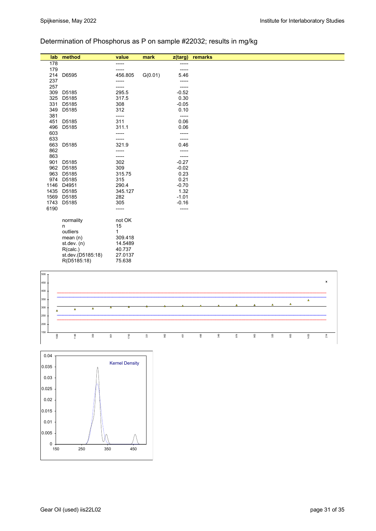# Determination of Phosphorus as P on sample #22032; results in mg/kg

| lab              | method            | value   | mark    | z(targ) | remarks |
|------------------|-------------------|---------|---------|---------|---------|
| 178              |                   | -----   |         | -----   |         |
| 179              |                   | -----   |         | -----   |         |
|                  | 214 D6595         | 456.805 | G(0.01) | 5.46    |         |
| 237              |                   | -----   |         | -----   |         |
| 257              |                   | -----   |         | -----   |         |
| 309              | D5185             | 295.5   |         | $-0.52$ |         |
| 325              | D5185             | 317.5   |         | 0.30    |         |
| 331              | D5185             | 308     |         | $-0.05$ |         |
| 349              | D5185             | 312     |         | 0.10    |         |
| 381              |                   | -----   |         | -----   |         |
| 451              | D5185             | 311     |         | 0.06    |         |
| 496              | D5185             | 311.1   |         | 0.06    |         |
| 603              |                   | -----   |         | -----   |         |
| 633              |                   | -----   |         | -----   |         |
| 663              | D5185             | 321.9   |         | 0.46    |         |
| 862              |                   | -----   |         | -----   |         |
| 863              |                   | -----   |         | -----   |         |
| 901              | D5185             | 302     |         | $-0.27$ |         |
| 962              | D5185             | 309     |         | $-0.02$ |         |
|                  | 963 D5185         | 315.75  |         | 0.23    |         |
|                  | 974 D5185         | 315     |         | 0.21    |         |
| 1146             | D4951             | 290.4   |         | $-0.70$ |         |
| 1435             | D5185             | 345.127 |         | 1.32    |         |
| 1569             | D5185             | 282     |         | $-1.01$ |         |
| 1743             | D5185             | 305     |         | $-0.16$ |         |
| 6190             |                   | -----   |         | -----   |         |
|                  | normality         | not OK  |         |         |         |
|                  | n                 | 15      |         |         |         |
|                  | outliers          | 1       |         |         |         |
|                  | mean $(n)$        | 309.418 |         |         |         |
|                  | st. dev. (n)      | 14.5489 |         |         |         |
|                  | R(calc.)          | 40.737  |         |         |         |
|                  | st.dev.(D5185:18) | 27.0137 |         |         |         |
|                  | R(D5185:18)       | 75.638  |         |         |         |
|                  |                   |         |         |         |         |
| $\frac{1500}{1}$ |                   |         |         |         |         |



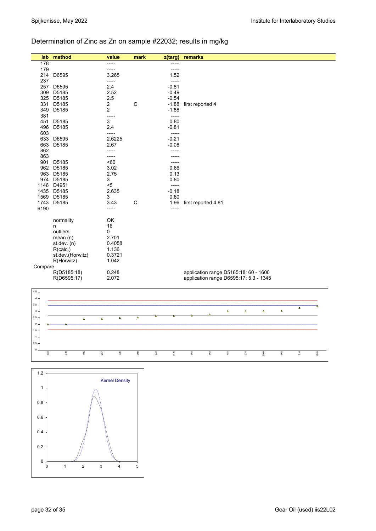# Determination of Zinc as Zn on sample #22032; results in mg/kg

| lab                  | method                   |                      | value                   | mark        | $\overline{z$ (targ) |                 | remarks             |         |                                        |                |                |          |          |      |
|----------------------|--------------------------|----------------------|-------------------------|-------------|----------------------|-----------------|---------------------|---------|----------------------------------------|----------------|----------------|----------|----------|------|
| 178                  |                          |                      | -----                   |             |                      | -----           |                     |         |                                        |                |                |          |          |      |
| 179                  |                          |                      | -----                   |             |                      | -----           |                     |         |                                        |                |                |          |          |      |
| 214                  | D6595                    |                      | 3.265<br>-----          |             |                      | 1.52<br>-----   |                     |         |                                        |                |                |          |          |      |
| 237<br>257           | D6595                    |                      | 2.4                     |             |                      | $-0.81$         |                     |         |                                        |                |                |          |          |      |
| 309                  | D5185                    |                      | 2.52                    |             |                      | $-0.49$         |                     |         |                                        |                |                |          |          |      |
|                      | 325 D5185                |                      | 2.5                     |             |                      | $-0.54$         |                     |         |                                        |                |                |          |          |      |
|                      | 331 D5185                |                      | $\overline{\mathbf{c}}$ | $\mathsf C$ |                      | $-1.88$         | first reported 4    |         |                                        |                |                |          |          |      |
|                      | 349 D5185                |                      | $\overline{2}$          |             |                      | $-1.88$         |                     |         |                                        |                |                |          |          |      |
| 381                  | 451 D5185                |                      | -----<br>3              |             |                      | -----<br>0.80   |                     |         |                                        |                |                |          |          |      |
|                      | 496 D5185                |                      | 2.4                     |             |                      | $-0.81$         |                     |         |                                        |                |                |          |          |      |
| 603                  |                          |                      | -----                   |             |                      | -----           |                     |         |                                        |                |                |          |          |      |
|                      | 633 D6595                |                      | 2.6225                  |             |                      | $-0.21$         |                     |         |                                        |                |                |          |          |      |
|                      | 663 D5185                |                      | 2.67                    |             |                      | $-0.08$         |                     |         |                                        |                |                |          |          |      |
| 862                  |                          |                      | -----<br>-----          |             |                      | -----           |                     |         |                                        |                |                |          |          |      |
| 863                  | 901 D5185                |                      | <60                     |             |                      | -----<br>-----  |                     |         |                                        |                |                |          |          |      |
|                      | 962 D5185                |                      | 3.02                    |             |                      | 0.86            |                     |         |                                        |                |                |          |          |      |
|                      | 963 D5185                |                      | 2.75                    |             |                      | 0.13            |                     |         |                                        |                |                |          |          |      |
|                      | 974 D5185                |                      | 3                       |             |                      | 0.80            |                     |         |                                        |                |                |          |          |      |
|                      | 1146 D4951               |                      | $< 5$                   |             |                      | $-----$         |                     |         |                                        |                |                |          |          |      |
|                      | 1435 D5185               |                      | 2.635                   |             |                      | $-0.18$<br>0.80 |                     |         |                                        |                |                |          |          |      |
|                      | 1569 D5185<br>1743 D5185 |                      | 3<br>3.43               | C           |                      | 1.96            | first reported 4.81 |         |                                        |                |                |          |          |      |
| 6190                 |                          |                      | -----                   |             |                      | -----           |                     |         |                                        |                |                |          |          |      |
|                      |                          |                      |                         |             |                      |                 |                     |         |                                        |                |                |          |          |      |
|                      | normality                |                      | OK                      |             |                      |                 |                     |         |                                        |                |                |          |          |      |
|                      | n<br>outliers            |                      | 16<br>0                 |             |                      |                 |                     |         |                                        |                |                |          |          |      |
|                      | mean $(n)$               |                      | 2.701                   |             |                      |                 |                     |         |                                        |                |                |          |          |      |
|                      | st.dev. (n)              |                      | 0.4058                  |             |                      |                 |                     |         |                                        |                |                |          |          |      |
|                      | R(calc.)                 |                      | 1.136                   |             |                      |                 |                     |         |                                        |                |                |          |          |      |
|                      | st.dev.(Horwitz)         |                      | 0.3721                  |             |                      |                 |                     |         |                                        |                |                |          |          |      |
| Compare              | R(Horwitz)               |                      | 1.042                   |             |                      |                 |                     |         |                                        |                |                |          |          |      |
|                      | R(D5185:18)              |                      | 0.248                   |             |                      |                 |                     |         | application range D5185:18: 60 - 1600  |                |                |          |          |      |
|                      | R(D6595:17)              |                      | 2.072                   |             |                      |                 |                     |         | application range D6595:17: 5.3 - 1345 |                |                |          |          |      |
|                      |                          |                      |                         |             |                      |                 |                     |         |                                        |                |                |          |          |      |
| 4.5 <sub>1</sub>     |                          |                      |                         |             |                      |                 |                     |         |                                        |                |                |          |          |      |
| 4.1<br>$3.5\,$       |                          |                      |                         |             |                      |                 |                     |         |                                        |                |                |          |          |      |
| $3 \cdot$            |                          |                      |                         |             |                      |                 |                     |         | $\pmb{\Delta}$                         | $\pmb{\Delta}$ | $\pmb{\Delta}$ | $\Delta$ | $\Delta$ |      |
| $2.5\,$              |                          | $\Delta$<br>$\Delta$ | $\Delta$                | $\Delta$    | Δ                    |                 |                     |         |                                        |                |                |          |          |      |
| $\overline{2}$       |                          |                      |                         |             |                      |                 |                     |         |                                        |                |                |          |          |      |
| $1.5\,$              |                          |                      |                         |             |                      |                 |                     |         |                                        |                |                |          |          |      |
| $\mathbf{1}$         |                          |                      |                         |             |                      |                 |                     |         |                                        |                |                |          |          |      |
| $0.5\,$              |                          |                      |                         |             |                      |                 |                     |         |                                        |                |                |          |          |      |
| $\mathbf 0$<br>$331$ | 349                      | $496$<br>257         | 325                     | $309$       | 633                  | 1435            | 663                 | $963\,$ | 451                                    | $974$          | 1569           | $962\,$  | $214$    | 1743 |
|                      |                          |                      |                         |             |                      |                 |                     |         |                                        |                |                |          |          |      |
|                      |                          |                      |                         |             |                      |                 |                     |         |                                        |                |                |          |          |      |
| $1.2$                |                          |                      |                         |             |                      |                 |                     |         |                                        |                |                |          |          |      |
|                      |                          |                      | <b>Kernel Density</b>   |             |                      |                 |                     |         |                                        |                |                |          |          |      |
| $\mathbf{1}$         |                          |                      |                         |             |                      |                 |                     |         |                                        |                |                |          |          |      |
|                      |                          |                      |                         |             |                      |                 |                     |         |                                        |                |                |          |          |      |
| $0.8\,$              |                          |                      |                         |             |                      |                 |                     |         |                                        |                |                |          |          |      |
|                      |                          |                      |                         |             |                      |                 |                     |         |                                        |                |                |          |          |      |
| 0.6                  |                          |                      |                         |             |                      |                 |                     |         |                                        |                |                |          |          |      |

 $0 +$ 

012345

0.2

0.4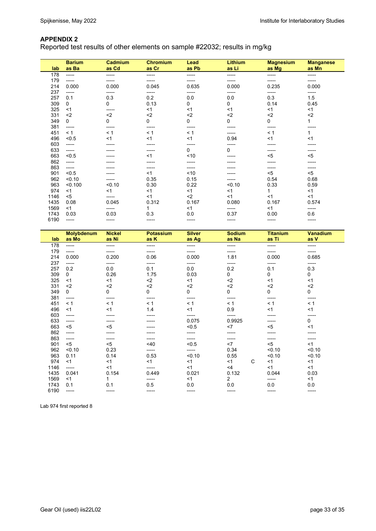Reported test results of other elements on sample #22032; results in mg/kg

| lab  | <b>Barium</b><br>as Ba | Cadmium<br>as Cd | <b>Chromium</b><br>as Cr | Lead<br>as Pb | <b>Lithium</b><br>as Li | <b>Magnesium</b><br>as Mg | <b>Manganese</b><br>as Mn |
|------|------------------------|------------------|--------------------------|---------------|-------------------------|---------------------------|---------------------------|
| 178  | -----                  | -----            | -----                    | -----         | -----                   | -----                     | -----                     |
| 179  | -----                  |                  | -----                    | -----         | -----                   | -----                     | -----                     |
| 214  | 0.000                  | 0.000            | 0.045                    | 0.635         | 0.000                   | 0.235                     | 0.000                     |
| 237  | -----                  | -----            | -----                    | -----         | ------                  | -----                     | -----                     |
| 257  | 0.1                    | 0.3              | 0.2                      | 0.0           | 0.0                     | 0.3                       | 1.5                       |
| 309  | $\mathbf 0$            | 0                | 0.13                     | 0             | 0                       | 0.14                      | 0.45                      |
| 325  | $<$ 1                  | -----            | $<$ 1                    | $<$ 1         | $<$ 1                   | $<$ 1                     | $<$ 1                     |
| 331  | $2$                    | $2$              | $2$                      | $2$           | $2$                     | $2$                       | $2$                       |
| 349  | 0                      | 0                | 0                        | 0             | 0                       | 0                         |                           |
| 381  | -----                  | ------           | -----                    | -----         | -----                   | -----                     |                           |
| 451  | < 1                    | < 1              | < 1                      | $\leq 1$      |                         | < 1                       |                           |
| 496  | < 0.5                  | $<$ 1            | $<$ 1                    | $<$ 1         | 0.94                    | < 1                       | <1                        |
| 603  | -----                  |                  |                          | -----         | -----                   |                           |                           |
| 633  | -----                  |                  | -----                    | 0             | 0                       | -----                     | -----                     |
| 663  | < 0.5                  |                  | $<$ 1                    | ~10           |                         | $5$                       | $5$                       |
| 862  | -----                  |                  |                          |               |                         |                           |                           |
| 863  | -----                  |                  | -----                    | -----         |                         | -----                     | -----                     |
| 901  | < 0.5                  |                  | $<$ 1                    | ~10           |                         | $5$                       | $5$                       |
| 962  | < 0.10                 |                  | 0.35                     | 0.15          |                         | 0.54                      | 0.68                      |
| 963  | < 0.100                | < 0.10           | 0.30                     | 0.22          | < 0.10                  | 0.33                      | 0.59                      |
| 974  | <1                     | <1               | <1                       | < 1           | <1                      | 1                         | <1                        |
| 1146 | $5$                    | -----            | < 1                      | $2$           | <1                      | < 1                       | <1                        |
| 1435 | 0.08                   | 0.045            | 0.312                    | 0.167         | 0.080                   | 0.167                     | 0.574                     |
| 1569 | <1                     | -----            | 1                        | $<$ 1         | -----                   | $<$ 1                     | -----                     |
| 1743 | 0.03                   | 0.03             | 0.3                      | 0.0           | 0.37                    | 0.00                      | 0.6                       |
| 6190 | -----                  | -----            | -----                    | -----         | -----                   | -----                     | ------                    |

| lab  | <b>Molybdenum</b><br>as Mo | <b>Nickel</b><br>as Ni | <b>Potassium</b><br>as K | <b>Silver</b><br>as Ag | <b>Sodium</b><br>as Na | <b>Titanium</b><br>as Ti | Vanadium<br>as V |
|------|----------------------------|------------------------|--------------------------|------------------------|------------------------|--------------------------|------------------|
| 178  | -----                      | -----                  | -----                    | ------                 | -----                  | -----                    | -----            |
| 179  | -----                      |                        |                          |                        |                        |                          |                  |
| 214  | 0.000                      | 0.200                  | 0.06                     | 0.000                  | 1.81                   | 0.000                    | 0.685            |
| 237  | -----                      | -----                  | -----                    | ------                 | -----                  | -----                    | -----            |
| 257  | 0.2                        | 0.0                    | 0.1                      | 0.0                    | 0.2                    | 0.1                      | 0.3              |
| 309  | $\mathbf 0$                | 0.26                   | 1.75                     | 0.03                   | 0                      | 0                        | 0                |
| 325  | $<$ 1                      | <1                     | $2$                      | $<$ 1                  | $2$                    | < 1                      | $<$ 1            |
| 331  | $2$                        | $2$                    | $2$                      | $2$                    | $2$                    | $2$                      | $2$              |
| 349  | $\mathbf 0$                | 0                      | $\mathbf 0$              | 0                      | 0                      | 0                        | 0                |
| 381  | -----                      | -----                  | -----                    | -----                  | -----                  | -----                    | -----            |
| 451  | < 1                        | < 1                    | < 1                      | < 1                    | < 1                    | < 1                      | < 1              |
| 496  | <1                         | $<$ 1                  | 1.4                      | $<$ 1                  | 0.9                    | < 1                      | $<$ 1            |
| 603  | -----                      |                        |                          | -----                  | -----                  |                          | -----            |
| 633  | ------                     |                        |                          | 0.075                  | 0.9925                 |                          | 0                |
| 663  | $<$ 5                      | $<$ 5                  |                          | < 0.5                  | $<$ 7                  | $5$                      | <1               |
| 862  | -----                      |                        |                          | -----                  | -----                  |                          |                  |
| 863  | -----                      |                        |                          | -----                  | -----                  | -----                    |                  |
| 901  | $5$                        | $5$                    | 40<                      | < 0.5                  | < 7                    | $<$ 5                    | $<$ 1            |
| 962  | < 0.10                     | 0.23                   | -----                    | -----                  | 0.34                   | < 0.10                   | < 0.10           |
| 963  | 0.11                       | 0.14                   | 0.53                     | < 0.10                 | 0.55                   | < 0.10                   | < 0.10           |
| 974  | <1                         | $<$ 1                  | $<$ 1                    | $<$ 1                  | C<br>$<$ 1             | $<$ 1                    | <1               |
| 1146 | -----                      | $<$ 1                  | -----                    | $<$ 1                  | $<$ 4                  | < 1                      | <1               |
| 1435 | 0.041                      | 0.154                  | 0.449                    | 0.021                  | 0.132                  | 0.044                    | 0.03             |
| 1569 | <1                         |                        | -----                    | $<$ 1                  | 2                      | -----                    | <1               |
| 1743 | 0.1                        | 0.1                    | 0.5                      | 0.0                    | 0.0                    | 0.0                      | 0.0              |
| 6190 | -----                      | -----                  | -----                    | -----                  | -----                  | -----                    | -----            |

Lab 974 first reported 8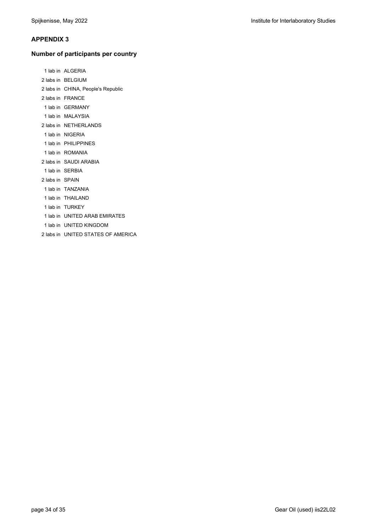## **Number of participants per country**

|                 | 1 lab in ALGERIA                   |
|-----------------|------------------------------------|
|                 | 2 labs in BELGIUM                  |
|                 | 2 labs in CHINA, People's Republic |
|                 | 2 labs in FRANCE                   |
|                 | 1 lab in GERMANY                   |
|                 | 1 lab in MALAYSIA                  |
|                 | 2 labs in NETHERLANDS              |
|                 | 1 lab in NIGERIA                   |
|                 | 1 lab in PHILIPPINES               |
|                 | 1 lab in ROMANIA                   |
|                 | 2 labs in SAUDI ARABIA             |
|                 | 1 lab in SERBIA                    |
| 2 labs in SPAIN |                                    |
|                 | 1 lab in TANZANIA                  |
|                 | 1 lab in THAILAND                  |
|                 | 1 lab in TURKEY                    |
|                 | 1 lab in UNITED ARAB EMIRATES      |
|                 | 1 lab in UNITED KINGDOM            |
|                 | 2 labs in UNITED STATES OF AMERICA |